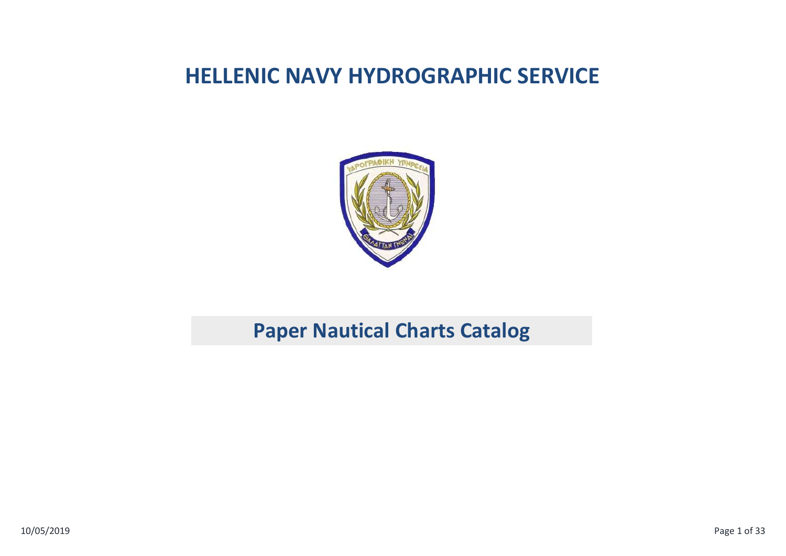## **HELLENIC NAVY HYDROGRAPHIC SERVICE**



## **Paper Nautical Charts Catalog**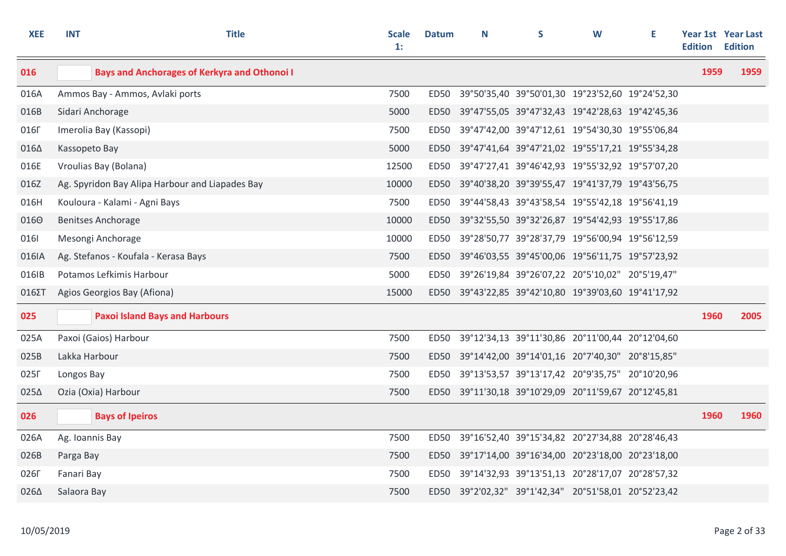| <b>XEE</b>       | <b>INT</b>      | <b>Title</b>                                        | <b>Scale</b><br>1: | <b>Datum</b> | N | S                                                    | W | Е | <b>Edition</b> | Year 1st Year Last<br><b>Edition</b> |
|------------------|-----------------|-----------------------------------------------------|--------------------|--------------|---|------------------------------------------------------|---|---|----------------|--------------------------------------|
| 016              |                 | <b>Bays and Anchorages of Kerkyra and Othonoi I</b> |                    |              |   |                                                      |   |   | 1959           | 1959                                 |
| 016A             |                 | Ammos Bay - Ammos, Avlaki ports                     | 7500               | ED50         |   | 39°50'35,40 39°50'01,30 19°23'52,60 19°24'52,30      |   |   |                |                                      |
| 016B             |                 | Sidari Anchorage                                    | 5000               | ED50         |   | 39°47'55,05 39°47'32,43 19°42'28,63 19°42'45,36      |   |   |                |                                      |
| 016Г             |                 | Imerolia Bay (Kassopi)                              | 7500               | ED50         |   | 39°47'42,00 39°47'12,61 19°54'30,30 19°55'06,84      |   |   |                |                                      |
| 0164             | Kassopeto Bay   |                                                     | 5000               |              |   | ED50 39°47'41,64 39°47'21,02 19°55'17,21 19°55'34,28 |   |   |                |                                      |
| 016E             |                 | Vroulias Bay (Bolana)                               | 12500              | ED50         |   | 39°47'27,41 39°46'42,93 19°55'32,92 19°57'07,20      |   |   |                |                                      |
| 016Z             |                 | Ag. Spyridon Bay Alipa Harbour and Liapades Bay     | 10000              |              |   | ED50 39°40'38,20 39°39'55,47 19°41'37,79 19°43'56,75 |   |   |                |                                      |
| 016H             |                 | Kouloura - Kalami - Agni Bays                       | 7500               | ED50         |   | 39°44'58,43 39°43'58,54 19°55'42,18 19°56'41,19      |   |   |                |                                      |
| 0160             |                 | <b>Benitses Anchorage</b>                           | 10000              | ED50         |   | 39°32'55,50 39°32'26,87 19°54'42,93 19°55'17,86      |   |   |                |                                      |
| 0161             |                 | Mesongi Anchorage                                   | 10000              | ED50         |   | 39°28'50,77 39°28'37,79 19°56'00,94 19°56'12,59      |   |   |                |                                      |
| 016IA            |                 | Ag. Stefanos - Koufala - Kerasa Bays                | 7500               |              |   | ED50 39°46'03,55 39°45'00,06 19°56'11,75 19°57'23,92 |   |   |                |                                      |
| 016IB            |                 | Potamos Lefkimis Harbour                            | 5000               |              |   | ED50 39°26'19,84 39°26'07,22 20°5'10,02" 20°5'19,47" |   |   |                |                                      |
| 016ΣΤ            |                 | Agios Georgios Bay (Afiona)                         | 15000              |              |   | ED50 39°43'22,85 39°42'10,80 19°39'03,60 19°41'17,92 |   |   |                |                                      |
| 025              |                 | <b>Paxoi Island Bays and Harbours</b>               |                    |              |   |                                                      |   |   | 1960           | 2005                                 |
| 025A             |                 | Paxoi (Gaios) Harbour                               | 7500               |              |   | ED50 39°12'34,13 39°11'30,86 20°11'00,44 20°12'04,60 |   |   |                |                                      |
| 025B             | Lakka Harbour   |                                                     | 7500               | ED50         |   | 39°14'42,00 39°14'01,16 20°7'40,30" 20°8'15,85"      |   |   |                |                                      |
| 025F             | Longos Bay      |                                                     | 7500               | ED50         |   | 39°13'53,57 39°13'17,42 20°9'35,75" 20°10'20,96      |   |   |                |                                      |
| 0254             |                 | Ozia (Oxia) Harbour                                 | 7500               |              |   | ED50 39°11'30,18 39°10'29,09 20°11'59,67 20°12'45,81 |   |   |                |                                      |
| 026              |                 | <b>Bays of Ipeiros</b>                              |                    |              |   |                                                      |   |   | 1960           | 1960                                 |
| 026A             | Ag. Ioannis Bay |                                                     | 7500               | ED50         |   | 39°16'52,40 39°15'34,82 20°27'34,88 20°28'46,43      |   |   |                |                                      |
| 026B             | Parga Bay       |                                                     | 7500               | ED50         |   | 39°17'14,00 39°16'34,00 20°23'18,00 20°23'18,00      |   |   |                |                                      |
| 026 <sub>F</sub> | Fanari Bay      |                                                     | 7500               |              |   | ED50 39°14'32,93 39°13'51,13 20°28'17,07 20°28'57,32 |   |   |                |                                      |
| 0264             | Salaora Bay     |                                                     | 7500               |              |   | ED50 39°2'02,32" 39°1'42,34" 20°51'58,01 20°52'23,42 |   |   |                |                                      |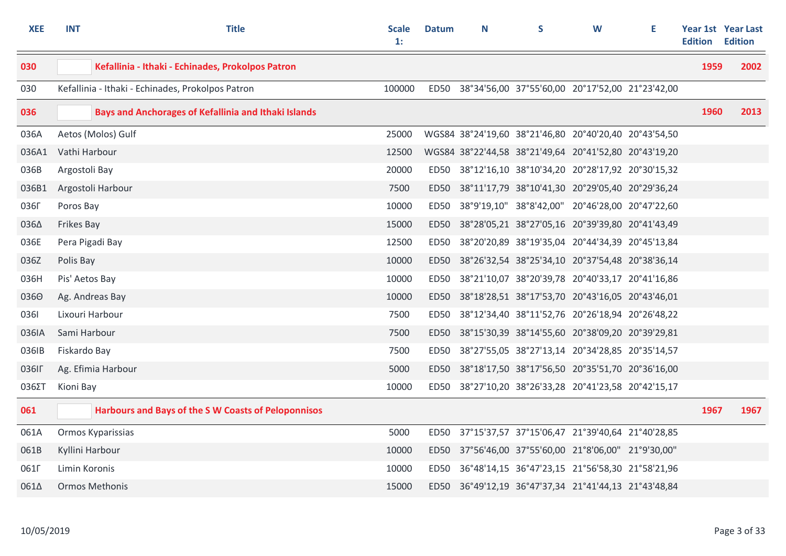| <b>XEE</b>       | <b>INT</b>        | <b>Title</b>                                                | <b>Scale</b><br>$\mathbf{1}$ : | <b>Datum</b> | N | S                                                     | W | Е | <b>Edition</b> | Year 1st Year Last<br><b>Edition</b> |
|------------------|-------------------|-------------------------------------------------------------|--------------------------------|--------------|---|-------------------------------------------------------|---|---|----------------|--------------------------------------|
| 030              |                   | Kefallinia - Ithaki - Echinades, Prokolpos Patron           |                                |              |   |                                                       |   |   | 1959           | 2002                                 |
| 030              |                   | Kefallinia - Ithaki - Echinades, Prokolpos Patron           | 100000                         |              |   | ED50 38°34'56,00 37°55'60,00 20°17'52,00 21°23'42,00  |   |   |                |                                      |
| 036              |                   | <b>Bays and Anchorages of Kefallinia and Ithaki Islands</b> |                                |              |   |                                                       |   |   | 1960           | 2013                                 |
| 036A             |                   | Aetos (Molos) Gulf                                          | 25000                          |              |   | WGS84 38°24'19,60 38°21'46,80 20°40'20,40 20°43'54,50 |   |   |                |                                      |
| 036A1            | Vathi Harbour     |                                                             | 12500                          |              |   | WGS84 38°22'44,58 38°21'49,64 20°41'52,80 20°43'19,20 |   |   |                |                                      |
| 036B             | Argostoli Bay     |                                                             | 20000                          |              |   | ED50 38°12'16,10 38°10'34,20 20°28'17,92 20°30'15,32  |   |   |                |                                      |
| 036B1            |                   | Argostoli Harbour                                           | 7500                           |              |   | ED50 38°11'17,79 38°10'41,30 20°29'05,40 20°29'36,24  |   |   |                |                                      |
| <b>036Г</b>      | Poros Bay         |                                                             | 10000                          |              |   | ED50 38°9'19,10" 38°8'42,00" 20°46'28,00 20°47'22,60  |   |   |                |                                      |
| 0364             | <b>Frikes Bay</b> |                                                             | 15000                          | ED50         |   | 38°28'05,21 38°27'05,16 20°39'39,80 20°41'43,49       |   |   |                |                                      |
| 036E             | Pera Pigadi Bay   |                                                             | 12500                          | ED50         |   | 38°20'20,89 38°19'35,04 20°44'34,39 20°45'13,84       |   |   |                |                                      |
| 036Z             | Polis Bay         |                                                             | 10000                          | ED50         |   | 38°26'32,54 38°25'34,10 20°37'54,48 20°38'36,14       |   |   |                |                                      |
| 036H             | Pis' Aetos Bay    |                                                             | 10000                          | ED50         |   | 38°21'10,07 38°20'39,78 20°40'33,17 20°41'16,86       |   |   |                |                                      |
| 0360             |                   | Ag. Andreas Bay                                             | 10000                          |              |   | ED50 38°18'28,51 38°17'53,70 20°43'16,05 20°43'46,01  |   |   |                |                                      |
| 0361             | Lixouri Harbour   |                                                             | 7500                           | ED50         |   | 38°12'34,40 38°11'52,76 20°26'18,94 20°26'48,22       |   |   |                |                                      |
| 036IA            | Sami Harbour      |                                                             | 7500                           | ED50         |   | 38°15'30,39 38°14'55,60 20°38'09,20 20°39'29,81       |   |   |                |                                      |
| 036IB            | Fiskardo Bay      |                                                             | 7500                           | ED50         |   | 38°27'55,05 38°27'13,14 20°34'28,85 20°35'14,57       |   |   |                |                                      |
| 036IF            |                   | Ag. Efimia Harbour                                          | 5000                           | ED50         |   | 38°18'17,50 38°17'56,50 20°35'51,70 20°36'16,00       |   |   |                |                                      |
| 036ΣT            | Kioni Bay         |                                                             | 10000                          | ED50         |   | 38°27'10,20 38°26'33,28 20°41'23,58 20°42'15,17       |   |   |                |                                      |
| 061              |                   | <b>Harbours and Bays of the S W Coasts of Peloponnisos</b>  |                                |              |   |                                                       |   |   | 1967           | 1967                                 |
| 061A             |                   | Ormos Kyparissias                                           | 5000                           |              |   | ED50 37°15'37,57 37°15'06,47 21°39'40,64 21°40'28,85  |   |   |                |                                      |
| 061B             | Kyllini Harbour   |                                                             | 10000                          |              |   | ED50 37°56'46,00 37°55'60,00 21°8'06,00" 21°9'30,00"  |   |   |                |                                      |
| 061 <sub>F</sub> | Limin Koronis     |                                                             | 10000                          |              |   | ED50 36°48'14,15 36°47'23,15 21°56'58,30 21°58'21,96  |   |   |                |                                      |
| 0614             |                   | <b>Ormos Methonis</b>                                       | 15000                          |              |   | ED50 36°49'12,19 36°47'37,34 21°41'44,13 21°43'48,84  |   |   |                |                                      |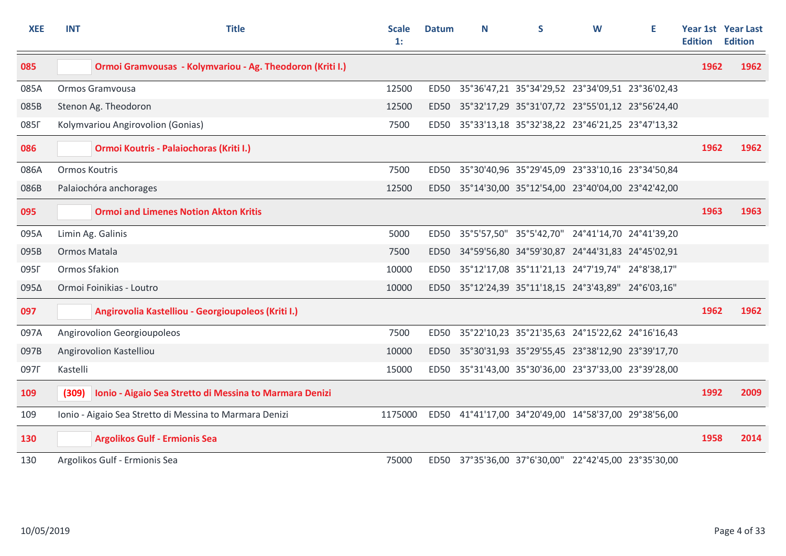| <b>XEE</b>       | <b>INT</b>           | <b>Title</b>                                              | <b>Scale</b><br>1: | <b>Datum</b> | N | S.                                                   | W | Е | <b>Edition</b> | Year 1st Year Last<br><b>Edition</b> |
|------------------|----------------------|-----------------------------------------------------------|--------------------|--------------|---|------------------------------------------------------|---|---|----------------|--------------------------------------|
| 085              |                      | Ormoi Gramvousas - Kolymvariou - Ag. Theodoron (Kriti I.) |                    |              |   |                                                      |   |   | 1962           | 1962                                 |
| 085A             |                      | Ormos Gramvousa                                           | 12500              |              |   | ED50 35°36'47,21 35°34'29,52 23°34'09,51 23°36'02,43 |   |   |                |                                      |
| 085B             |                      | Stenon Ag. Theodoron                                      | 12500              |              |   | ED50 35°32'17,29 35°31'07,72 23°55'01,12 23°56'24,40 |   |   |                |                                      |
| 085 <sub>F</sub> |                      | Kolymvariou Angirovolion (Gonias)                         | 7500               |              |   | ED50 35°33'13,18 35°32'38,22 23°46'21,25 23°47'13,32 |   |   |                |                                      |
| 086              |                      | Ormoi Koutris - Palaiochoras (Kriti I.)                   |                    |              |   |                                                      |   |   | 1962           | 1962                                 |
| 086A             | <b>Ormos Koutris</b> |                                                           | 7500               | ED50         |   | 35°30'40,96 35°29'45,09 23°33'10,16 23°34'50,84      |   |   |                |                                      |
| 086B             |                      | Palaiochóra anchorages                                    | 12500              | <b>ED50</b>  |   | 35°14'30,00 35°12'54,00 23°40'04,00 23°42'42,00      |   |   |                |                                      |
| 095              |                      | <b>Ormoi and Limenes Notion Akton Kritis</b>              |                    |              |   |                                                      |   |   | 1963           | 1963                                 |
| 095A             |                      | Limin Ag. Galinis                                         | 5000               | <b>ED50</b>  |   | 35°5'57,50" 35°5'42,70" 24°41'14,70 24°41'39,20      |   |   |                |                                      |
| 095B             | Ormos Matala         |                                                           | 7500               | <b>ED50</b>  |   | 34°59'56,80 34°59'30,87 24°44'31,83 24°45'02,91      |   |   |                |                                      |
| 095F             | Ormos Sfakion        |                                                           | 10000              | <b>ED50</b>  |   | 35°12'17,08 35°11'21,13 24°7'19,74" 24°8'38,17"      |   |   |                |                                      |
| 0954             |                      | Ormoi Foinikias - Loutro                                  | 10000              | <b>ED50</b>  |   | 35°12'24,39 35°11'18,15 24°3'43,89" 24°6'03,16"      |   |   |                |                                      |
| 097              |                      | Angirovolia Kastelliou - Georgioupoleos (Kriti I.)        |                    |              |   |                                                      |   |   | 1962           | 1962                                 |
| 097A             |                      | Angirovolion Georgioupoleos                               | 7500               |              |   | ED50 35°22'10,23 35°21'35,63 24°15'22,62 24°16'16,43 |   |   |                |                                      |
| 097B             |                      | Angirovolion Kastelliou                                   | 10000              |              |   | ED50 35°30'31,93 35°29'55,45 23°38'12,90 23°39'17,70 |   |   |                |                                      |
| 097 <sub>F</sub> | Kastelli             |                                                           | 15000              | ED50         |   | 35°31'43,00 35°30'36,00 23°37'33,00 23°39'28,00      |   |   |                |                                      |
| 109              | (309)                | Ionio - Aigaio Sea Stretto di Messina to Marmara Denizi   |                    |              |   |                                                      |   |   | 1992           | 2009                                 |
| 109              |                      | Ionio - Aigaio Sea Stretto di Messina to Marmara Denizi   | 1175000            |              |   | ED50 41°41'17,00 34°20'49,00 14°58'37,00 29°38'56,00 |   |   |                |                                      |
| 130              |                      | <b>Argolikos Gulf - Ermionis Sea</b>                      |                    |              |   |                                                      |   |   | 1958           | 2014                                 |
| 130              |                      | Argolikos Gulf - Ermionis Sea                             | 75000              |              |   | ED50 37°35'36,00 37°6'30,00" 22°42'45,00 23°35'30,00 |   |   |                |                                      |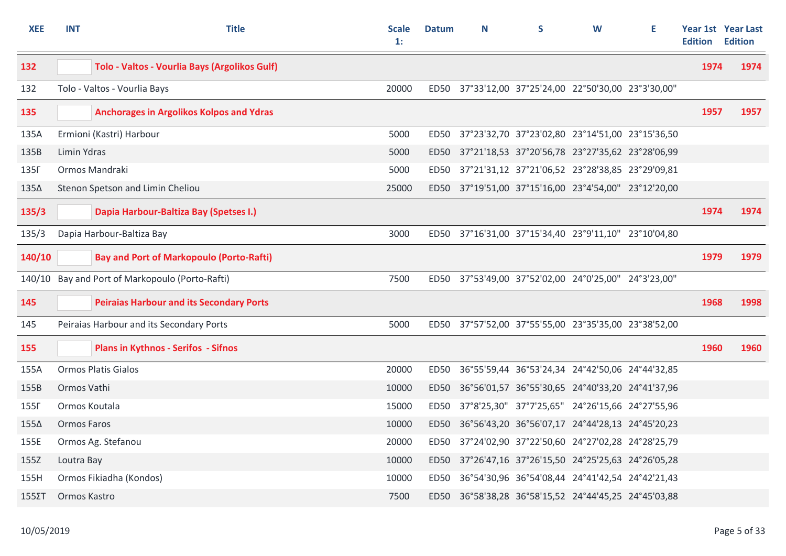| <b>XEE</b>       | <b>INT</b>         | <b>Title</b>                                    | <b>Scale</b><br>$\mathbf{1}$ : | <b>Datum</b> | N                                                    | S                                               | W | Е | Edition | <b>Year 1st Year Last</b><br><b>Edition</b> |
|------------------|--------------------|-------------------------------------------------|--------------------------------|--------------|------------------------------------------------------|-------------------------------------------------|---|---|---------|---------------------------------------------|
| 132              |                    | Tolo - Valtos - Vourlia Bays (Argolikos Gulf)   |                                |              |                                                      |                                                 |   |   | 1974    | 1974                                        |
| 132              |                    | Tolo - Valtos - Vourlia Bays                    | 20000                          |              | ED50 37°33'12,00 37°25'24,00 22°50'30,00 23°3'30,00" |                                                 |   |   |         |                                             |
| 135              |                    | <b>Anchorages in Argolikos Kolpos and Ydras</b> |                                |              |                                                      |                                                 |   |   | 1957    | 1957                                        |
| 135A             |                    | Ermioni (Kastri) Harbour                        | 5000                           |              | ED50 37°23'32,70 37°23'02,80 23°14'51,00 23°15'36,50 |                                                 |   |   |         |                                             |
| 135B             | Limin Ydras        |                                                 | 5000                           |              | ED50 37°21'18,53 37°20'56,78 23°27'35,62 23°28'06,99 |                                                 |   |   |         |                                             |
| 135 <sub>F</sub> |                    | Ormos Mandraki                                  | 5000                           |              | ED50 37°21'31,12 37°21'06,52 23°28'38,85 23°29'09,81 |                                                 |   |   |         |                                             |
| 135∆             |                    | Stenon Spetson and Limin Cheliou                | 25000                          |              | ED50 37°19'51,00 37°15'16,00 23°4'54,00" 23°12'20,00 |                                                 |   |   |         |                                             |
| 135/3            |                    | Dapia Harbour-Baltiza Bay (Spetses I.)          |                                |              |                                                      |                                                 |   |   | 1974    | 1974                                        |
| 135/3            |                    | Dapia Harbour-Baltiza Bay                       | 3000                           |              | ED50 37°16'31,00 37°15'34,40 23°9'11,10" 23°10'04,80 |                                                 |   |   |         |                                             |
| 140/10           |                    | <b>Bay and Port of Markopoulo (Porto-Rafti)</b> |                                |              |                                                      |                                                 |   |   | 1979    | 1979                                        |
|                  |                    | 140/10 Bay and Port of Markopoulo (Porto-Rafti) | 7500                           |              | ED50 37°53'49,00 37°52'02,00 24°0'25,00" 24°3'23,00" |                                                 |   |   |         |                                             |
| 145              |                    | <b>Peiraias Harbour and its Secondary Ports</b> |                                |              |                                                      |                                                 |   |   | 1968    | 1998                                        |
| 145              |                    | Peiraias Harbour and its Secondary Ports        | 5000                           |              | ED50 37°57'52,00 37°55'55,00 23°35'35,00 23°38'52,00 |                                                 |   |   |         |                                             |
| 155              |                    | <b>Plans in Kythnos - Serifos - Sifnos</b>      |                                |              |                                                      |                                                 |   |   | 1960    | 1960                                        |
| 155A             |                    | <b>Ormos Platis Gialos</b>                      | 20000                          | ED50         |                                                      | 36°55'59,44 36°53'24,34 24°42'50,06 24°44'32,85 |   |   |         |                                             |
| 155B             | Ormos Vathi        |                                                 | 10000                          | ED50         | 36°56'01,57 36°55'30,65 24°40'33,20 24°41'37,96      |                                                 |   |   |         |                                             |
| 155F             | Ormos Koutala      |                                                 | 15000                          | ED50         |                                                      | 37°8'25,30" 37°7'25,65" 24°26'15,66 24°27'55,96 |   |   |         |                                             |
| 155∆             | <b>Ormos Faros</b> |                                                 | 10000                          |              | ED50 36°56'43,20 36°56'07,17 24°44'28,13 24°45'20,23 |                                                 |   |   |         |                                             |
| 155E             |                    | Ormos Ag. Stefanou                              | 20000                          | ED50         |                                                      | 37°24'02,90 37°22'50,60 24°27'02,28 24°28'25,79 |   |   |         |                                             |
| 155Z             | Loutra Bay         |                                                 | 10000                          | ED50         | 37°26'47,16 37°26'15,50 24°25'25,63 24°26'05,28      |                                                 |   |   |         |                                             |
| 155H             |                    | Ormos Fikiadha (Kondos)                         | 10000                          | ED50         |                                                      | 36°54'30,96 36°54'08,44 24°41'42,54 24°42'21,43 |   |   |         |                                             |
| $155\Sigma T$    | Ormos Kastro       |                                                 | 7500                           |              | ED50 36°58'38,28 36°58'15,52 24°44'45,25 24°45'03,88 |                                                 |   |   |         |                                             |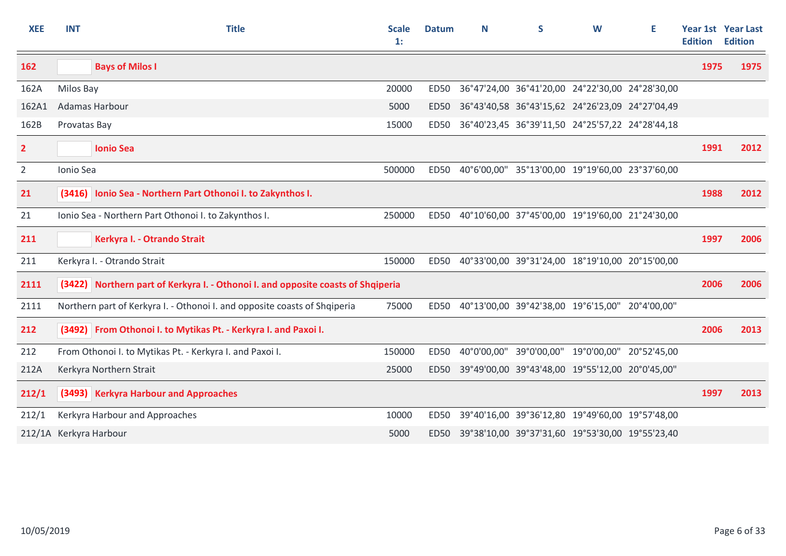| <b>XEE</b>     | <b>INT</b>             | <b>Title</b>                                                                     | <b>Scale</b><br>$\mathbf{1}$ : | <b>Datum</b>     | N           | S                                               | W | Е | <b>Edition</b> | <b>Year 1st Year Last</b><br><b>Edition</b> |
|----------------|------------------------|----------------------------------------------------------------------------------|--------------------------------|------------------|-------------|-------------------------------------------------|---|---|----------------|---------------------------------------------|
| 162            |                        | <b>Bays of Milos I</b>                                                           |                                |                  |             |                                                 |   |   | 1975           | 1975                                        |
| 162A           | Milos Bay              |                                                                                  | 20000                          | ED50             |             | 36°47'24,00 36°41'20,00 24°22'30,00 24°28'30,00 |   |   |                |                                             |
| 162A1          |                        | Adamas Harbour                                                                   | 5000                           | <b>ED50</b>      |             | 36°43'40,58 36°43'15,62 24°26'23,09 24°27'04,49 |   |   |                |                                             |
| 162B           | Provatas Bay           |                                                                                  | 15000                          | <b>ED50</b>      |             | 36°40'23,45 36°39'11,50 24°25'57,22 24°28'44,18 |   |   |                |                                             |
| $\overline{2}$ |                        | <b>Ionio Sea</b>                                                                 |                                |                  |             |                                                 |   |   | 1991           | 2012                                        |
| $\overline{2}$ | Ionio Sea              |                                                                                  | 500000                         | <b>ED50</b>      |             | 40°6'00,00" 35°13'00,00 19°19'60,00 23°37'60,00 |   |   |                |                                             |
| 21             |                        | (3416) Ionio Sea - Northern Part Othonoi I. to Zakynthos I.                      |                                |                  |             |                                                 |   |   | 1988           | 2012                                        |
| 21             |                        | Ionio Sea - Northern Part Othonoi I. to Zakynthos I.                             | 250000                         | ED50             |             | 40°10'60,00 37°45'00,00 19°19'60,00 21°24'30,00 |   |   |                |                                             |
| 211            |                        | Kerkyra I. - Otrando Strait                                                      |                                |                  |             |                                                 |   |   | 1997           | 2006                                        |
| 211            |                        | Kerkyra I. - Otrando Strait                                                      | 150000                         | <b>ED50</b>      |             | 40°33'00,00 39°31'24,00 18°19'10,00 20°15'00,00 |   |   |                |                                             |
| 2111           |                        | (3422) Northern part of Kerkyra I. - Othonoi I. and opposite coasts of Shqiperia |                                |                  |             |                                                 |   |   | 2006           | 2006                                        |
| 2111           |                        | Northern part of Kerkyra I. - Othonoi I. and opposite coasts of Shqiperia        | 75000                          | ED50             |             | 40°13'00,00 39°42'38,00 19°6'15,00" 20°4'00,00" |   |   |                |                                             |
| 212            |                        | (3492) From Othonoi I. to Mytikas Pt. - Kerkyra I. and Paxoi I.                  |                                |                  |             |                                                 |   |   | 2006           | 2013                                        |
| 212            |                        | From Othonoi I. to Mytikas Pt. - Kerkyra I. and Paxoi I.                         | 150000                         | <b>ED50</b>      | 40°0'00,00" | 39°0'00,00" 19°0'00,00" 20°52'45,00             |   |   |                |                                             |
| 212A           |                        | Kerkyra Northern Strait                                                          | 25000                          | <b>ED50</b>      |             | 39°49'00,00 39°43'48,00 19°55'12,00 20°0'45,00" |   |   |                |                                             |
| 212/1          |                        | (3493) Kerkyra Harbour and Approaches                                            |                                |                  |             |                                                 |   |   | 1997           | 2013                                        |
| 212/1          |                        | Kerkyra Harbour and Approaches                                                   | 10000                          | ED <sub>50</sub> |             | 39°40'16,00 39°36'12,80 19°49'60,00 19°57'48,00 |   |   |                |                                             |
|                | 212/1A Kerkyra Harbour |                                                                                  | 5000                           | ED50             |             | 39°38'10,00 39°37'31,60 19°53'30,00 19°55'23,40 |   |   |                |                                             |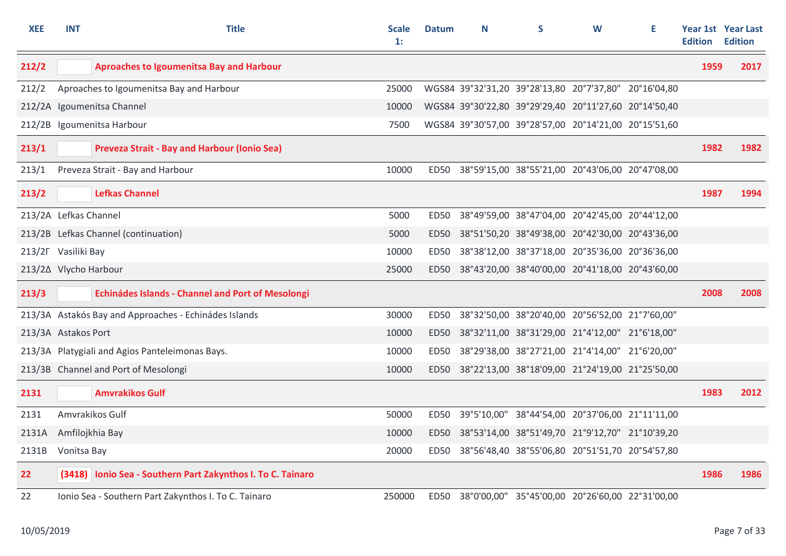| <b>XEE</b>            | <b>INT</b>  | <b>Title</b>                                                | <b>Scale</b><br>1: | <b>Datum</b> | N | S                                                     | W | Е | <b>Edition</b> | Year 1st Year Last<br><b>Edition</b> |
|-----------------------|-------------|-------------------------------------------------------------|--------------------|--------------|---|-------------------------------------------------------|---|---|----------------|--------------------------------------|
| 212/2                 |             | <b>Aproaches to Igoumenitsa Bay and Harbour</b>             |                    |              |   |                                                       |   |   | 1959           | 2017                                 |
| 212/2                 |             | Aproaches to Igoumenitsa Bay and Harbour                    | 25000              |              |   | WGS84 39°32'31,20 39°28'13,80 20°7'37,80" 20°16'04,80 |   |   |                |                                      |
|                       |             | 212/2A Igoumenitsa Channel                                  | 10000              |              |   | WGS84 39°30'22,80 39°29'29,40 20°11'27,60 20°14'50,40 |   |   |                |                                      |
|                       |             | 212/2B Igoumenitsa Harbour                                  | 7500               |              |   | WGS84 39°30'57,00 39°28'57,00 20°14'21,00 20°15'51,60 |   |   |                |                                      |
| 213/1                 |             | <b>Preveza Strait - Bay and Harbour (Ionio Sea)</b>         |                    |              |   |                                                       |   |   | 1982           | 1982                                 |
| 213/1                 |             | Preveza Strait - Bay and Harbour                            | 10000              | ED50         |   | 38°59'15,00 38°55'21,00 20°43'06,00 20°47'08,00       |   |   |                |                                      |
| 213/2                 |             | <b>Lefkas Channel</b>                                       |                    |              |   |                                                       |   |   | 1987           | 1994                                 |
| 213/2A Lefkas Channel |             |                                                             | 5000               | <b>ED50</b>  |   | 38°49'59,00 38°47'04,00 20°42'45,00 20°44'12,00       |   |   |                |                                      |
|                       |             | 213/2B Lefkas Channel (continuation)                        | 5000               | <b>ED50</b>  |   | 38°51'50,20 38°49'38,00 20°42'30,00 20°43'36,00       |   |   |                |                                      |
| 213/2F Vasiliki Bay   |             |                                                             | 10000              | ED50         |   | 38°38'12,00 38°37'18,00 20°35'36,00 20°36'36,00       |   |   |                |                                      |
| 213/2∆ Vlycho Harbour |             |                                                             | 25000              | <b>ED50</b>  |   | 38°43'20,00 38°40'00,00 20°41'18,00 20°43'60,00       |   |   |                |                                      |
| 213/3                 |             | Echinádes Islands - Channel and Port of Mesolongi           |                    |              |   |                                                       |   |   | 2008           | 2008                                 |
|                       |             | 213/3A Astakós Bay and Approaches - Echinádes Islands       | 30000              | ED50         |   | 38°32'50,00 38°20'40,00 20°56'52,00 21°7'60,00"       |   |   |                |                                      |
| 213/3A Astakos Port   |             |                                                             | 10000              | <b>ED50</b>  |   | 38°32'11,00 38°31'29,00 21°4'12,00" 21°6'18,00"       |   |   |                |                                      |
|                       |             | 213/3A Platygiali and Agios Panteleimonas Bays.             | 10000              | <b>ED50</b>  |   | 38°29'38,00 38°27'21,00 21°4'14,00" 21°6'20,00"       |   |   |                |                                      |
|                       |             | 213/3B Channel and Port of Mesolongi                        | 10000              | ED50         |   | 38°22'13,00 38°18'09,00 21°24'19,00 21°25'50,00       |   |   |                |                                      |
| 2131                  |             | <b>Amvrakikos Gulf</b>                                      |                    |              |   |                                                       |   |   | 1983           | 2012                                 |
| 2131                  |             | Amvrakikos Gulf                                             | 50000              | ED50         |   | 39°5'10,00" 38°44'54,00 20°37'06,00 21°11'11,00       |   |   |                |                                      |
| 2131A                 |             | Amfilojkhia Bay                                             | 10000              | ED50         |   | 38°53'14,00 38°51'49,70 21°9'12,70" 21°10'39,20       |   |   |                |                                      |
| 2131B                 | Vonitsa Bay |                                                             | 20000              |              |   | ED50 38°56'48,40 38°55'06,80 20°51'51,70 20°54'57,80  |   |   |                |                                      |
| 22                    |             | (3418) Ionio Sea - Southern Part Zakynthos I. To C. Tainaro |                    |              |   |                                                       |   |   | 1986           | 1986                                 |
| 22                    |             | Ionio Sea - Southern Part Zakynthos I. To C. Tainaro        | 250000             |              |   | ED50 38°0'00,00" 35°45'00,00 20°26'60,00 22°31'00,00  |   |   |                |                                      |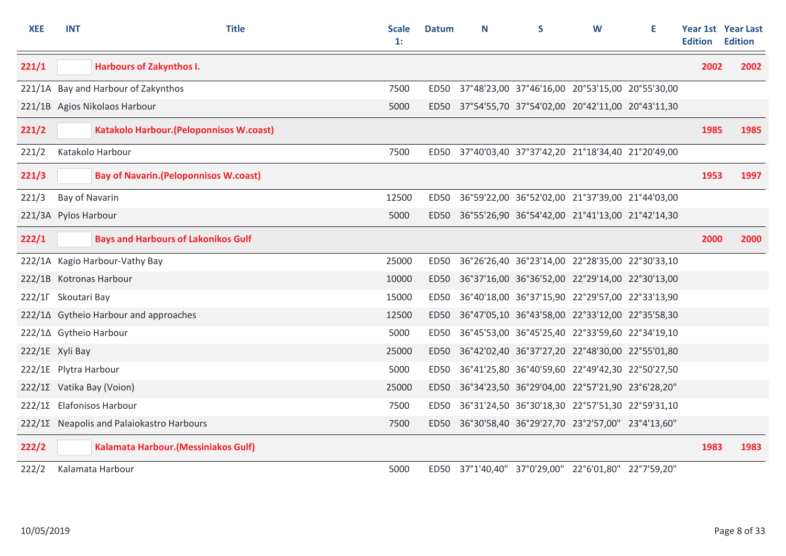| <b>XEE</b> | <b>INT</b>            | <b>Title</b>                                    | <b>Scale</b><br>1: | <b>Datum</b> | N | S                                                    | W | Е | <b>Edition</b> | Year 1st Year Last<br><b>Edition</b> |
|------------|-----------------------|-------------------------------------------------|--------------------|--------------|---|------------------------------------------------------|---|---|----------------|--------------------------------------|
| 221/1      |                       | <b>Harbours of Zakynthos I.</b>                 |                    |              |   |                                                      |   |   | 2002           | 2002                                 |
|            |                       | 221/1A Bay and Harbour of Zakynthos             | 7500               | ED50         |   | 37°48'23,00 37°46'16,00 20°53'15,00 20°55'30,00      |   |   |                |                                      |
|            |                       | 221/1B Agios Nikolaos Harbour                   | 5000               |              |   | ED50 37°54'55,70 37°54'02,00 20°42'11,00 20°43'11,30 |   |   |                |                                      |
| 221/2      |                       | <b>Katakolo Harbour. (Peloponnisos W.coast)</b> |                    |              |   |                                                      |   |   | 1985           | 1985                                 |
| 221/2      |                       | Katakolo Harbour                                | 7500               |              |   | ED50 37°40'03,40 37°37'42,20 21°18'34,40 21°20'49,00 |   |   |                |                                      |
| 221/3      |                       | <b>Bay of Navarin. (Peloponnisos W.coast)</b>   |                    |              |   |                                                      |   |   | 1953           | 1997                                 |
| 221/3      | Bay of Navarin        |                                                 | 12500              | ED50         |   | 36°59'22,00 36°52'02,00 21°37'39,00 21°44'03,00      |   |   |                |                                      |
|            | 221/3A Pylos Harbour  |                                                 | 5000               |              |   | ED50 36°55'26,90 36°54'42,00 21°41'13,00 21°42'14,30 |   |   |                |                                      |
| 222/1      |                       | <b>Bays and Harbours of Lakonikos Gulf</b>      |                    |              |   |                                                      |   |   | 2000           | 2000                                 |
|            |                       | 222/1A Kagio Harbour-Vathy Bay                  | 25000              |              |   | ED50 36°26'26,40 36°23'14,00 22°28'35,00 22°30'33,10 |   |   |                |                                      |
|            |                       | 222/1B Kotronas Harbour                         | 10000              |              |   | ED50 36°37'16,00 36°36'52,00 22°29'14,00 22°30'13,00 |   |   |                |                                      |
|            | 222/1Γ Skoutari Bay   |                                                 | 15000              | ED50         |   | 36°40'18,00 36°37'15,90 22°29'57,00 22°33'13,90      |   |   |                |                                      |
|            |                       | 222/1∆ Gytheio Harbour and approaches           | 12500              |              |   | ED50 36°47'05,10 36°43'58,00 22°33'12,00 22°35'58,30 |   |   |                |                                      |
|            |                       | 222/1∆ Gytheio Harbour                          | 5000               | ED50         |   | 36°45'53,00 36°45'25,40 22°33'59,60 22°34'19,10      |   |   |                |                                      |
|            | 222/1E Xyli Bay       |                                                 | 25000              |              |   | ED50 36°42'02,40 36°37'27,20 22°48'30,00 22°55'01,80 |   |   |                |                                      |
|            | 222/1E Plytra Harbour |                                                 | 5000               | ED50         |   | 36°41'25,80 36°40'59,60 22°49'42,30 22°50'27,50      |   |   |                |                                      |
|            |                       | 222/1Σ Vatika Bay (Voion)                       | 25000              |              |   | ED50 36°34'23,50 36°29'04,00 22°57'21,90 23°6'28,20" |   |   |                |                                      |
|            |                       | 222/12 Elafonisos Harbour                       | 7500               | ED50         |   | 36°31'24,50 36°30'18,30 22°57'51,30 22°59'31,10      |   |   |                |                                      |
|            |                       | 222/12 Neapolis and Palaiokastro Harbours       | 7500               | ED50         |   | 36°30'58,40 36°29'27,70 23°2'57,00" 23°4'13,60"      |   |   |                |                                      |
| 222/2      |                       | <b>Kalamata Harbour. (Messiniakos Gulf)</b>     |                    |              |   |                                                      |   |   | 1983           | 1983                                 |
| 222/2      |                       | Kalamata Harbour                                | 5000               |              |   | ED50 37°1'40,40" 37°0'29,00" 22°6'01,80" 22°7'59,20" |   |   |                |                                      |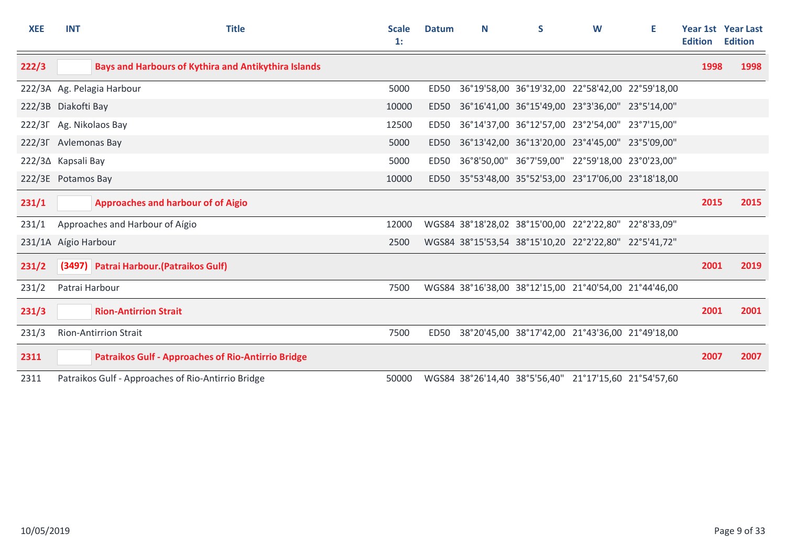| <b>XEE</b>           | <b>INT</b>           | <b>Title</b>                                                | <b>Scale</b><br>1: | <b>Datum</b> | N | S                                                     | W | Е | <b>Edition</b> | <b>Year 1st Year Last</b><br><b>Edition</b> |
|----------------------|----------------------|-------------------------------------------------------------|--------------------|--------------|---|-------------------------------------------------------|---|---|----------------|---------------------------------------------|
| 222/3                |                      | <b>Bays and Harbours of Kythira and Antikythira Islands</b> |                    |              |   |                                                       |   |   | 1998           | 1998                                        |
|                      |                      | 222/3A Ag. Pelagia Harbour                                  | 5000               | ED50         |   | 36°19'58,00 36°19'32,00 22°58'42,00 22°59'18,00       |   |   |                |                                             |
|                      | 222/3B Diakofti Bay  |                                                             | 10000              | <b>ED50</b>  |   | 36°16'41,00 36°15'49,00 23°3'36,00" 23°5'14,00"       |   |   |                |                                             |
|                      |                      | 222/3F Ag. Nikolaos Bay                                     | 12500              | ED50         |   | 36°14'37,00 36°12'57,00 23°2'54,00" 23°7'15,00"       |   |   |                |                                             |
|                      | 222/3F Avlemonas Bay |                                                             | 5000               | ED50         |   | 36°13'42,00 36°13'20,00 23°4'45,00" 23°5'09,00"       |   |   |                |                                             |
|                      | 222/3∆ Kapsali Bay   |                                                             | 5000               | <b>ED50</b>  |   | 36°8'50,00" 36°7'59,00" 22°59'18,00 23°0'23,00"       |   |   |                |                                             |
|                      | 222/3E Potamos Bay   |                                                             | 10000              | ED50         |   | 35°53'48,00 35°52'53,00 23°17'06,00 23°18'18,00       |   |   |                |                                             |
| 231/1                |                      | <b>Approaches and harbour of of Aigio</b>                   |                    |              |   |                                                       |   |   | 2015           | 2015                                        |
| 231/1                |                      | Approaches and Harbour of Aígio                             | 12000              |              |   | WGS84 38°18'28,02 38°15'00,00 22°2'22,80" 22°8'33,09" |   |   |                |                                             |
| 231/1A Aígio Harbour |                      |                                                             | 2500               |              |   | WGS84 38°15'53,54 38°15'10,20 22°2'22,80" 22°5'41,72" |   |   |                |                                             |
| 231/2                |                      | (3497) Patrai Harbour. (Patraikos Gulf)                     |                    |              |   |                                                       |   |   | 2001           | 2019                                        |
| 231/2                | Patrai Harbour       |                                                             | 7500               |              |   | WGS84 38°16'38,00 38°12'15,00 21°40'54,00 21°44'46,00 |   |   |                |                                             |
| 231/3                |                      | <b>Rion-Antirrion Strait</b>                                |                    |              |   |                                                       |   |   | 2001           | 2001                                        |
| 231/3                |                      | <b>Rion-Antirrion Strait</b>                                | 7500               | ED50         |   | 38°20'45,00 38°17'42,00 21°43'36,00 21°49'18,00       |   |   |                |                                             |
| 2311                 |                      | <b>Patraikos Gulf - Approaches of Rio-Antirrio Bridge</b>   |                    |              |   |                                                       |   |   | 2007           | 2007                                        |
| 2311                 |                      | Patraikos Gulf - Approaches of Rio-Antirrio Bridge          | 50000              |              |   | WGS84 38°26'14,40 38°5'56,40" 21°17'15,60 21°54'57,60 |   |   |                |                                             |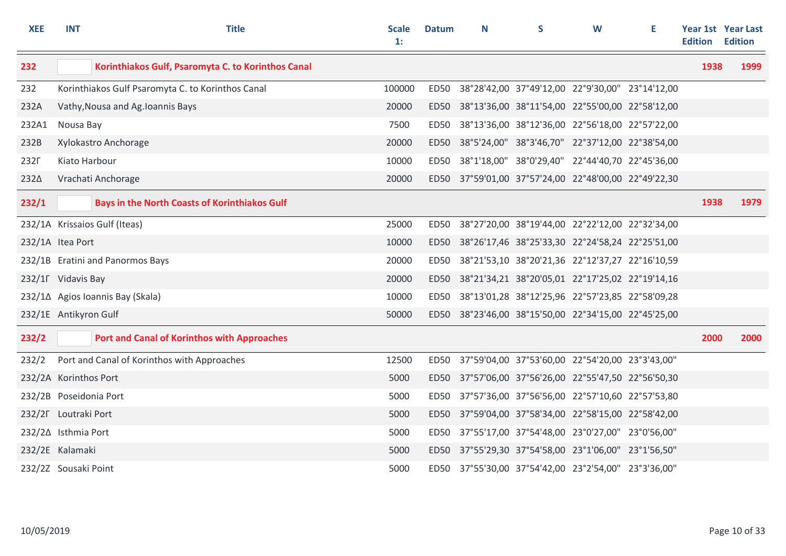| <b>XEE</b>             | <b>INT</b>    | <b>Title</b>                                         | <b>Scale</b><br>1: | <b>Datum</b> | N | S | W                                                    | E. | <b>Edition</b> | Year 1st Year Last<br><b>Edition</b> |
|------------------------|---------------|------------------------------------------------------|--------------------|--------------|---|---|------------------------------------------------------|----|----------------|--------------------------------------|
| 232                    |               | Korinthiakos Gulf, Psaromyta C. to Korinthos Canal   |                    |              |   |   |                                                      |    | 1938           | 1999                                 |
| 232                    |               | Korinthiakos Gulf Psaromyta C. to Korinthos Canal    | 100000             | ED50         |   |   | 38°28'42,00 37°49'12,00 22°9'30,00" 23°14'12,00      |    |                |                                      |
| 232A                   |               | Vathy, Nousa and Ag. Ioannis Bays                    | 20000              | <b>ED50</b>  |   |   | 38°13'36,00 38°11'54,00 22°55'00,00 22°58'12,00      |    |                |                                      |
| 232A1                  | Nousa Bay     |                                                      | 7500               | ED50         |   |   | 38°13'36,00 38°12'36,00 22°56'18,00 22°57'22,00      |    |                |                                      |
| 232B                   |               | Xylokastro Anchorage                                 | 20000              | <b>ED50</b>  |   |   | 38°5'24,00" 38°3'46,70" 22°37'12,00 22°38'54,00      |    |                |                                      |
| 232F                   | Kiato Harbour |                                                      | 10000              | <b>ED50</b>  |   |   | 38°1'18,00" 38°0'29,40" 22°44'40,70 22°45'36,00      |    |                |                                      |
| 232∆                   |               | Vrachati Anchorage                                   | 20000              |              |   |   | ED50 37°59'01,00 37°57'24,00 22°48'00,00 22°49'22,30 |    |                |                                      |
| 232/1                  |               | <b>Bays in the North Coasts of Korinthiakos Gulf</b> |                    |              |   |   |                                                      |    | 1938           | 1979                                 |
|                        |               | 232/1A Krissaios Gulf (Iteas)                        | 25000              |              |   |   | ED50 38°27'20,00 38°19'44,00 22°22'12,00 22°32'34,00 |    |                |                                      |
| 232/1A Itea Port       |               |                                                      | 10000              |              |   |   | ED50 38°26'17,46 38°25'33,30 22°24'58,24 22°25'51,00 |    |                |                                      |
|                        |               | 232/1B Eratini and Panormos Bays                     | 20000              |              |   |   | ED50 38°21'53,10 38°20'21,36 22°12'37,27 22°16'10,59 |    |                |                                      |
| 232/1F Vidavis Bay     |               |                                                      | 20000              |              |   |   | ED50 38°21'34,21 38°20'05,01 22°17'25,02 22°19'14,16 |    |                |                                      |
|                        |               | 232/1∆ Agios Ioannis Bay (Skala)                     | 10000              | ED50         |   |   | 38°13'01,28 38°12'25,96 22°57'23,85 22°58'09,28      |    |                |                                      |
| 232/1E Antikyron Gulf  |               |                                                      | 50000              |              |   |   | ED50 38°23'46,00 38°15'50,00 22°34'15,00 22°45'25,00 |    |                |                                      |
| 232/2                  |               | <b>Port and Canal of Korinthos with Approaches</b>   |                    |              |   |   |                                                      |    | 2000           | 2000                                 |
| 232/2                  |               | Port and Canal of Korinthos with Approaches          | 12500              | ED50         |   |   | 37°59'04,00 37°53'60,00 22°54'20,00 23°3'43,00"      |    |                |                                      |
| 232/2A Korinthos Port  |               |                                                      | 5000               | <b>ED50</b>  |   |   | 37°57'06,00 37°56'26,00 22°55'47,50 22°56'50,30      |    |                |                                      |
| 232/2B Poseidonia Port |               |                                                      | 5000               | <b>ED50</b>  |   |   | 37°57'36,00 37°56'56,00 22°57'10,60 22°57'53,80      |    |                |                                      |
| 232/2F Loutraki Port   |               |                                                      | 5000               | <b>ED50</b>  |   |   | 37°59'04,00 37°58'34,00 22°58'15,00 22°58'42,00      |    |                |                                      |
| 232/2∆ Isthmia Port    |               |                                                      | 5000               | <b>ED50</b>  |   |   | 37°55'17,00 37°54'48,00 23°0'27,00" 23°0'56,00"      |    |                |                                      |
| 232/2E Kalamaki        |               |                                                      | 5000               |              |   |   | ED50 37°55'29,30 37°54'58,00 23°1'06,00" 23°1'56,50" |    |                |                                      |
| 232/2Z Sousaki Point   |               |                                                      | 5000               |              |   |   | ED50 37°55'30,00 37°54'42,00 23°2'54,00" 23°3'36,00" |    |                |                                      |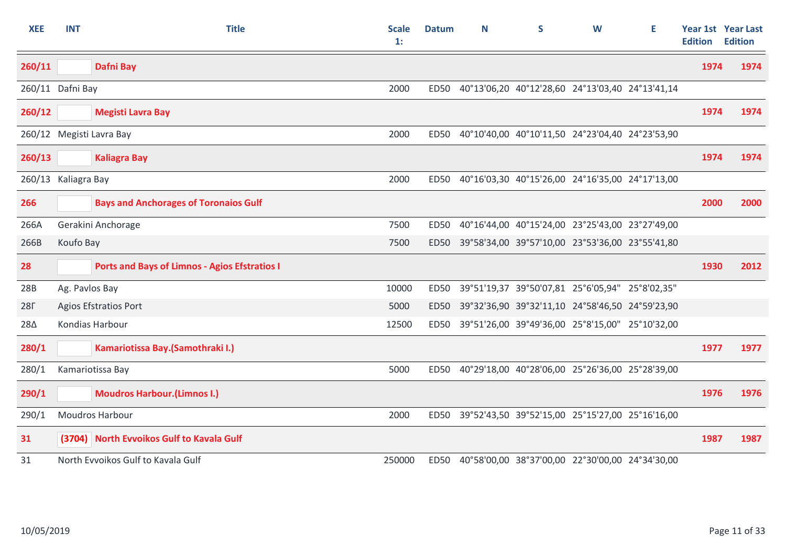| <b>XEE</b> | <b>INT</b>          | <b>Title</b>                                         | <b>Scale</b><br>1: | <b>Datum</b> | N | S                                                    | W | Е | <b>Edition</b> | Year 1st Year Last<br><b>Edition</b> |
|------------|---------------------|------------------------------------------------------|--------------------|--------------|---|------------------------------------------------------|---|---|----------------|--------------------------------------|
| 260/11     |                     | <b>Dafni Bay</b>                                     |                    |              |   |                                                      |   |   | 1974           | 1974                                 |
|            | 260/11 Dafni Bay    |                                                      | 2000               | ED50         |   | 40°13'06,20 40°12'28,60 24°13'03,40 24°13'41,14      |   |   |                |                                      |
| 260/12     |                     | <b>Megisti Lavra Bay</b>                             |                    |              |   |                                                      |   |   | 1974           | 1974                                 |
|            |                     | 260/12 Megisti Lavra Bay                             | 2000               |              |   | ED50 40°10'40,00 40°10'11,50 24°23'04,40 24°23'53,90 |   |   |                |                                      |
| 260/13     |                     | <b>Kaliagra Bay</b>                                  |                    |              |   |                                                      |   |   | 1974           | 1974                                 |
|            | 260/13 Kaliagra Bay |                                                      | 2000               | ED50         |   | 40°16'03,30 40°15'26,00 24°16'35,00 24°17'13,00      |   |   |                |                                      |
| 266        |                     | <b>Bays and Anchorages of Toronaios Gulf</b>         |                    |              |   |                                                      |   |   | 2000           | 2000                                 |
| 266A       |                     | Gerakini Anchorage                                   | 7500               | ED50         |   | 40°16'44,00 40°15'24,00 23°25'43,00 23°27'49,00      |   |   |                |                                      |
| 266B       | Koufo Bay           |                                                      | 7500               | <b>ED50</b>  |   | 39°58'34,00 39°57'10,00 23°53'36,00 23°55'41,80      |   |   |                |                                      |
| 28         |                     | <b>Ports and Bays of Limnos - Agios Efstratios I</b> |                    |              |   |                                                      |   |   | 1930           | 2012                                 |
| 28B        | Ag. Pavlos Bay      |                                                      | 10000              | <b>ED50</b>  |   | 39°51'19,37 39°50'07,81 25°6'05,94" 25°8'02,35"      |   |   |                |                                      |
| <b>28F</b> |                     | <b>Agios Efstratios Port</b>                         | 5000               | <b>ED50</b>  |   | 39°32'36,90 39°32'11,10 24°58'46,50 24°59'23,90      |   |   |                |                                      |
| 28Δ        |                     | Kondias Harbour                                      | 12500              | ED50         |   | 39°51'26,00 39°49'36,00 25°8'15,00" 25°10'32,00      |   |   |                |                                      |
| 280/1      |                     | Kamariotissa Bay.(Samothraki I.)                     |                    |              |   |                                                      |   |   | 1977           | 1977                                 |
| 280/1      |                     | Kamariotissa Bay                                     | 5000               |              |   | ED50 40°29'18,00 40°28'06,00 25°26'36,00 25°28'39,00 |   |   |                |                                      |
| 290/1      |                     | <b>Moudros Harbour. (Limnos I.)</b>                  |                    |              |   |                                                      |   |   | 1976           | 1976                                 |
| 290/1      |                     | Moudros Harbour                                      | 2000               | ED50         |   | 39°52'43,50 39°52'15,00 25°15'27,00 25°16'16,00      |   |   |                |                                      |
| 31         |                     | (3704) North Evvoikos Gulf to Kavala Gulf            |                    |              |   |                                                      |   |   | 1987           | 1987                                 |
| 31         |                     | North Evvoikos Gulf to Kavala Gulf                   | 250000             |              |   | ED50 40°58'00,00 38°37'00,00 22°30'00,00 24°34'30,00 |   |   |                |                                      |

 $\mathbb{Z}$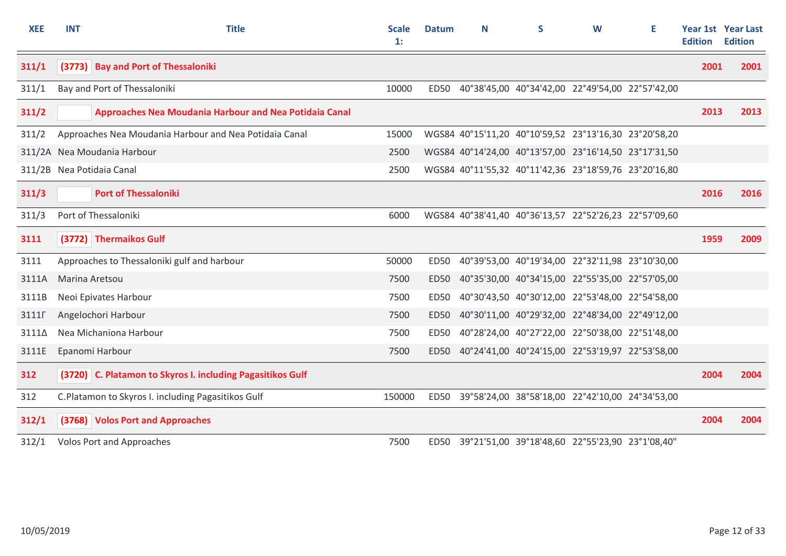| <b>XEE</b> | <b>INT</b>     | <b>Title</b>                                               | <b>Scale</b><br>1: | <b>Datum</b> | N | S                                                     | W | Е | <b>Edition</b> | <b>Year 1st Year Last</b><br><b>Edition</b> |
|------------|----------------|------------------------------------------------------------|--------------------|--------------|---|-------------------------------------------------------|---|---|----------------|---------------------------------------------|
| 311/1      |                | (3773) Bay and Port of Thessaloniki                        |                    |              |   |                                                       |   |   | 2001           | 2001                                        |
| 311/1      |                | Bay and Port of Thessaloniki                               | 10000              | ED50         |   | 40°38'45,00 40°34'42,00 22°49'54,00 22°57'42,00       |   |   |                |                                             |
| 311/2      |                | Approaches Nea Moudania Harbour and Nea Potidaia Canal     |                    |              |   |                                                       |   |   | 2013           | 2013                                        |
| 311/2      |                | Approaches Nea Moudania Harbour and Nea Potidaia Canal     | 15000              |              |   | WGS84 40°15'11,20 40°10'59,52 23°13'16,30 23°20'58,20 |   |   |                |                                             |
|            |                | 311/2A Nea Moudania Harbour                                | 2500               |              |   | WGS84 40°14'24,00 40°13'57,00 23°16'14,50 23°17'31,50 |   |   |                |                                             |
|            |                | 311/2B Nea Potidaia Canal                                  | 2500               |              |   | WGS84 40°11'55,32 40°11'42,36 23°18'59,76 23°20'16,80 |   |   |                |                                             |
| 311/3      |                | <b>Port of Thessaloniki</b>                                |                    |              |   |                                                       |   |   | 2016           | 2016                                        |
| 311/3      |                | Port of Thessaloniki                                       | 6000               |              |   | WGS84 40°38'41,40 40°36'13,57 22°52'26,23 22°57'09,60 |   |   |                |                                             |
| 3111       |                | (3772) Thermaikos Gulf                                     |                    |              |   |                                                       |   |   | 1959           | 2009                                        |
| 3111       |                | Approaches to Thessaloniki gulf and harbour                | 50000              | ED50         |   | 40°39'53,00 40°19'34,00 22°32'11,98 23°10'30,00       |   |   |                |                                             |
| 3111A      | Marina Aretsou |                                                            | 7500               | ED50         |   | 40°35'30,00 40°34'15,00 22°55'35,00 22°57'05,00       |   |   |                |                                             |
| 3111B      |                | Neoi Epivates Harbour                                      | 7500               | ED50         |   | 40°30'43,50 40°30'12,00 22°53'48,00 22°54'58,00       |   |   |                |                                             |
| 3111F      |                | Angelochori Harbour                                        | 7500               | <b>ED50</b>  |   | 40°30'11,00 40°29'32,00 22°48'34,00 22°49'12,00       |   |   |                |                                             |
| 31114      |                | Nea Michaniona Harbour                                     | 7500               | <b>ED50</b>  |   | 40°28'24,00 40°27'22,00 22°50'38,00 22°51'48,00       |   |   |                |                                             |
| 3111E      |                | Epanomi Harbour                                            | 7500               | ED50         |   | 40°24'41,00 40°24'15,00 22°53'19,97 22°53'58,00       |   |   |                |                                             |
| 312        |                | (3720) C. Platamon to Skyros I. including Pagasitikos Gulf |                    |              |   |                                                       |   |   | 2004           | 2004                                        |
| 312        |                | C.Platamon to Skyros I. including Pagasitikos Gulf         | 150000             |              |   | ED50 39°58'24,00 38°58'18,00 22°42'10,00 24°34'53,00  |   |   |                |                                             |
| 312/1      |                | (3768) Volos Port and Approaches                           |                    |              |   |                                                       |   |   | 2004           | 2004                                        |
| 312/1      |                | <b>Volos Port and Approaches</b>                           | 7500               | ED50         |   | 39°21'51,00 39°18'48,60 22°55'23,90 23°1'08,40"       |   |   |                |                                             |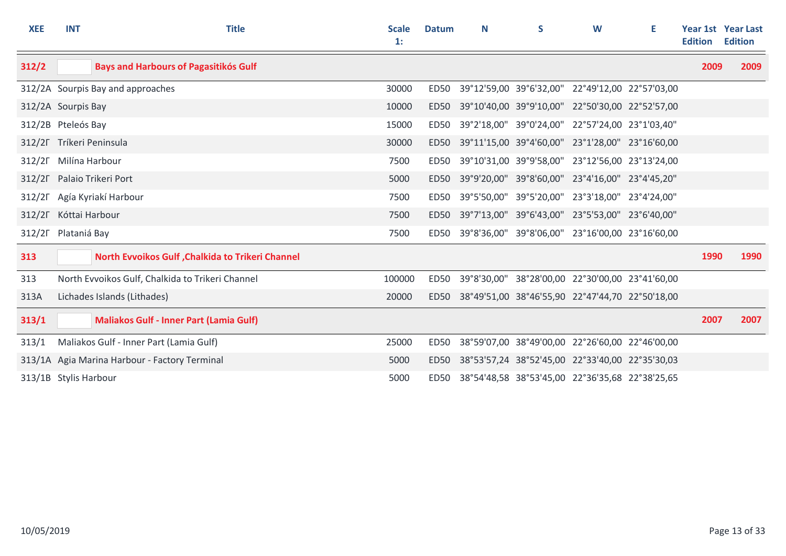| <b>XEE</b>            | <b>INT</b> | <b>Title</b>                                     | <b>Scale</b><br>$\mathbf{1}$ : | <b>Datum</b> | N | S                                                    | W | Е | <b>Edition</b> | Year 1st Year Last<br><b>Edition</b> |
|-----------------------|------------|--------------------------------------------------|--------------------------------|--------------|---|------------------------------------------------------|---|---|----------------|--------------------------------------|
| 312/2                 |            | <b>Bays and Harbours of Pagasitikós Gulf</b>     |                                |              |   |                                                      |   |   | 2009           | 2009                                 |
|                       |            | 312/2A Sourpis Bay and approaches                | 30000                          | ED50         |   | 39°12'59,00 39°6'32,00" 22°49'12,00 22°57'03,00      |   |   |                |                                      |
| 312/2A Sourpis Bay    |            |                                                  | 10000                          | ED50         |   | 39°10'40,00 39°9'10,00" 22°50'30,00 22°52'57,00      |   |   |                |                                      |
| 312/2B Pteleós Bay    |            |                                                  | 15000                          | <b>ED50</b>  |   | 39°2'18,00" 39°0'24,00" 22°57'24,00 23°1'03,40"      |   |   |                |                                      |
|                       |            | 312/2F Tríkeri Peninsula                         | 30000                          | ED50         |   | 39°11'15,00 39°4'60,00" 23°1'28,00" 23°16'60,00      |   |   |                |                                      |
| $312/2\Gamma$         |            | Milína Harbour                                   | 7500                           | <b>ED50</b>  |   | 39°10'31,00 39°9'58,00" 23°12'56,00 23°13'24,00      |   |   |                |                                      |
|                       |            | 312/2F Palaio Trikeri Port                       | 5000                           | ED50         |   | 39°9'20,00" 39°8'60,00" 23°4'16,00" 23°4'45,20"      |   |   |                |                                      |
| $312/2\Gamma$         |            | Agía Kyriakí Harbour                             | 7500                           | ED50         |   | 39°5'50,00" 39°5'20,00" 23°3'18,00" 23°4'24,00"      |   |   |                |                                      |
| 312/2F Kóttai Harbour |            |                                                  | 7500                           |              |   | ED50 39°7'13,00" 39°6'43,00" 23°5'53,00" 23°6'40,00" |   |   |                |                                      |
| 312/2F Plataniá Bay   |            |                                                  | 7500                           | ED50         |   | 39°8'36,00" 39°8'06,00" 23°16'00,00 23°16'60,00      |   |   |                |                                      |
| 313                   |            | North Evvoikos Gulf, Chalkida to Trikeri Channel |                                |              |   |                                                      |   |   | 1990           | 1990                                 |
| 313                   |            | North Evvoikos Gulf, Chalkida to Trikeri Channel | 100000                         | ED50         |   | 39°8'30,00" 38°28'00,00 22°30'00,00 23°41'60,00      |   |   |                |                                      |
| 313A                  |            | Lichades Islands (Lithades)                      | 20000                          | ED50         |   | 38°49'51,00 38°46'55,90 22°47'44,70 22°50'18,00      |   |   |                |                                      |
| 313/1                 |            | <b>Maliakos Gulf - Inner Part (Lamia Gulf)</b>   |                                |              |   |                                                      |   |   | 2007           | 2007                                 |
| 313/1                 |            | Maliakos Gulf - Inner Part (Lamia Gulf)          | 25000                          | ED50         |   | 38°59'07,00 38°49'00,00 22°26'60,00 22°46'00,00      |   |   |                |                                      |
|                       |            | 313/1A Agia Marina Harbour - Factory Terminal    | 5000                           | ED50         |   | 38°53'57,24 38°52'45,00 22°33'40,00 22°35'30,03      |   |   |                |                                      |
| 313/1B Stylis Harbour |            |                                                  | 5000                           |              |   | ED50 38°54'48,58 38°53'45,00 22°36'35,68 22°38'25,65 |   |   |                |                                      |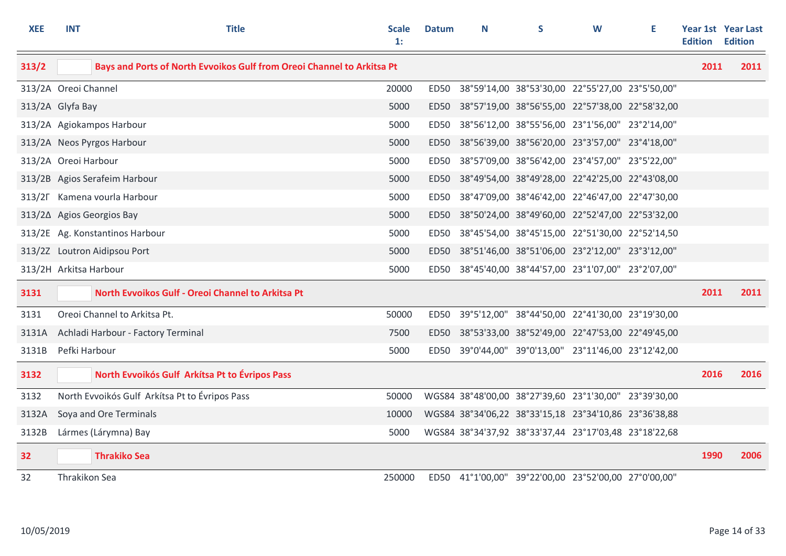| <b>XEE</b>             | <b>INT</b>    | <b>Title</b>                                                           | Scale<br>1: | <b>Datum</b> | N | S                                                     | W | Е | <b>Edition</b> | <b>Year 1st Year Last</b><br><b>Edition</b> |
|------------------------|---------------|------------------------------------------------------------------------|-------------|--------------|---|-------------------------------------------------------|---|---|----------------|---------------------------------------------|
| 313/2                  |               | Bays and Ports of North Evvoikos Gulf from Oreoi Channel to Arkitsa Pt |             |              |   |                                                       |   |   | 2011           | 2011                                        |
| 313/2A Oreoi Channel   |               |                                                                        | 20000       | ED50         |   | 38°59'14,00 38°53'30,00 22°55'27,00 23°5'50,00"       |   |   |                |                                             |
| 313/2A Glyfa Bay       |               |                                                                        | 5000        | ED50         |   | 38°57'19,00 38°56'55,00 22°57'38,00 22°58'32,00       |   |   |                |                                             |
|                        |               | 313/2A Agiokampos Harbour                                              | 5000        | ED50         |   | 38°56'12,00 38°55'56,00 23°1'56,00" 23°2'14,00"       |   |   |                |                                             |
|                        |               | 313/2A Neos Pyrgos Harbour                                             | 5000        | ED50         |   | 38°56'39,00 38°56'20,00 23°3'57,00" 23°4'18,00"       |   |   |                |                                             |
| 313/2A Oreoi Harbour   |               |                                                                        | 5000        | ED50         |   | 38°57'09,00 38°56'42,00 23°4'57,00" 23°5'22,00"       |   |   |                |                                             |
|                        |               | 313/2B Agios Serafeim Harbour                                          | 5000        | ED50         |   | 38°49'54,00 38°49'28,00 22°42'25,00 22°43'08,00       |   |   |                |                                             |
|                        |               | 313/2F Kamena vourla Harbour                                           | 5000        | ED50         |   | 38°47'09,00 38°46'42,00 22°46'47,00 22°47'30,00       |   |   |                |                                             |
|                        |               | 313/2∆ Agios Georgios Bay                                              | 5000        |              |   | ED50 38°50'24,00 38°49'60,00 22°52'47,00 22°53'32,00  |   |   |                |                                             |
|                        |               | 313/2E Ag. Konstantinos Harbour                                        | 5000        | ED50         |   | 38°45'54,00 38°45'15,00 22°51'30,00 22°52'14,50       |   |   |                |                                             |
|                        |               | 313/2Z Loutron Aidipsou Port                                           | 5000        | ED50         |   | 38°51'46,00 38°51'06,00 23°2'12,00" 23°3'12,00"       |   |   |                |                                             |
| 313/2H Arkitsa Harbour |               |                                                                        | 5000        | ED50         |   | 38°45'40,00 38°44'57,00 23°1'07,00" 23°2'07,00"       |   |   |                |                                             |
| 3131                   |               | North Evvoikos Gulf - Oreoi Channel to Arkitsa Pt                      |             |              |   |                                                       |   |   | 2011           | 2011                                        |
| 3131                   |               | Oreoi Channel to Arkitsa Pt.                                           | 50000       | <b>ED50</b>  |   | 39°5'12,00" 38°44'50,00 22°41'30,00 23°19'30,00       |   |   |                |                                             |
| 3131A                  |               | Achladi Harbour - Factory Terminal                                     | 7500        | ED50         |   | 38°53'33,00 38°52'49,00 22°47'53,00 22°49'45,00       |   |   |                |                                             |
| 3131B                  | Pefki Harbour |                                                                        | 5000        |              |   | ED50 39°0'44,00" 39°0'13,00" 23°11'46,00 23°12'42,00  |   |   |                |                                             |
| 3132                   |               | North Evvoikós Gulf Arkítsa Pt to Évripos Pass                         |             |              |   |                                                       |   |   | 2016           | 2016                                        |
| 3132                   |               | North Evvoikós Gulf Arkítsa Pt to Évripos Pass                         | 50000       |              |   | WGS84 38°48'00,00 38°27'39,60 23°1'30,00" 23°39'30,00 |   |   |                |                                             |
| 3132A                  |               | Soya and Ore Terminals                                                 | 10000       |              |   | WGS84 38°34'06,22 38°33'15,18 23°34'10,86 23°36'38,88 |   |   |                |                                             |
| 3132B                  |               | Lármes (Lárymna) Bay                                                   | 5000        |              |   | WGS84 38°34'37,92 38°33'37,44 23°17'03,48 23°18'22,68 |   |   |                |                                             |
| 32                     |               | <b>Thrakiko Sea</b>                                                    |             |              |   |                                                       |   |   | 1990           | 2006                                        |
| 32                     | Thrakikon Sea |                                                                        | 250000      |              |   | ED50 41°1'00,00" 39°22'00,00 23°52'00,00 27°0'00,00"  |   |   |                |                                             |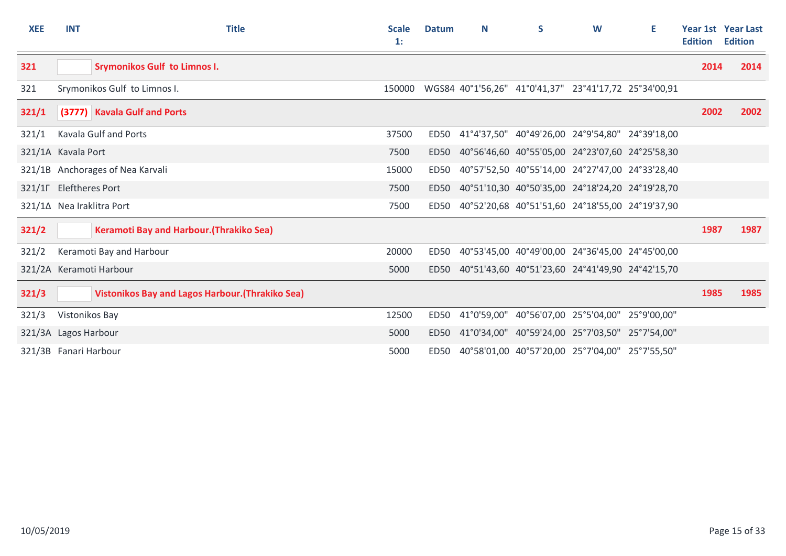| <b>XEE</b>           | <b>INT</b>             | <b>Title</b>                                            | <b>Scale</b><br>1: | <b>Datum</b> | N | S                                                     | W | E.          | <b>Edition</b> | <b>Year 1st Year Last</b><br><b>Edition</b> |
|----------------------|------------------------|---------------------------------------------------------|--------------------|--------------|---|-------------------------------------------------------|---|-------------|----------------|---------------------------------------------|
| 321                  |                        | <b>Srymonikos Gulf to Limnos I.</b>                     |                    |              |   |                                                       |   |             | 2014           | 2014                                        |
| 321                  |                        | Srymonikos Gulf to Limnos I.                            | 150000             |              |   | WGS84 40°1'56,26" 41°0'41,37" 23°41'17,72 25°34'00,91 |   |             |                |                                             |
| 321/1                |                        | (3777) Kavala Gulf and Ports                            |                    |              |   |                                                       |   |             | 2002           | 2002                                        |
| 321/1                |                        | Kavala Gulf and Ports                                   | 37500              | <b>ED50</b>  |   | 41°4'37,50" 40°49'26,00 24°9'54,80" 24°39'18,00       |   |             |                |                                             |
|                      | 321/1A Kavala Port     |                                                         | 7500               | ED50         |   | 40°56'46,60 40°55'05,00 24°23'07,60 24°25'58,30       |   |             |                |                                             |
|                      |                        | 321/1B Anchorages of Nea Karvali                        | 15000              | <b>ED50</b>  |   | 40°57'52,50 40°55'14,00 24°27'47,00 24°33'28,40       |   |             |                |                                             |
|                      | 321/1F Eleftheres Port |                                                         | 7500               | <b>ED50</b>  |   | 40°51'10,30 40°50'35,00 24°18'24,20 24°19'28,70       |   |             |                |                                             |
|                      |                        | 321/1∆ Nea Iraklitra Port                               | 7500               | ED50         |   | 40°52'20,68 40°51'51,60 24°18'55,00 24°19'37,90       |   |             |                |                                             |
| 321/2                |                        | Keramoti Bay and Harbour. (Thrakiko Sea)                |                    |              |   |                                                       |   |             | 1987           | 1987                                        |
| 321/2                |                        | Keramoti Bay and Harbour                                | 20000              | <b>ED50</b>  |   | 40°53'45,00 40°49'00,00 24°36'45,00 24°45'00,00       |   |             |                |                                             |
|                      |                        | 321/2A Keramoti Harbour                                 | 5000               | ED50         |   | 40°51'43,60 40°51'23,60 24°41'49,90 24°42'15,70       |   |             |                |                                             |
| 321/3                |                        | <b>Vistonikos Bay and Lagos Harbour. (Thrakiko Sea)</b> |                    |              |   |                                                       |   |             | 1985           | 1985                                        |
| 321/3                | Vistonikos Bay         |                                                         | 12500              | ED50         |   | 41°0'59,00" 40°56'07,00 25°5'04,00"                   |   | 25°9'00,00" |                |                                             |
| 321/3A Lagos Harbour |                        |                                                         | 5000               | <b>ED50</b>  |   | 41°0'34,00" 40°59'24,00 25°7'03,50" 25°7'54,00"       |   |             |                |                                             |
|                      | 321/3B Fanari Harbour  |                                                         | 5000               | ED50         |   | 40°58'01,00 40°57'20,00 25°7'04,00" 25°7'55,50"       |   |             |                |                                             |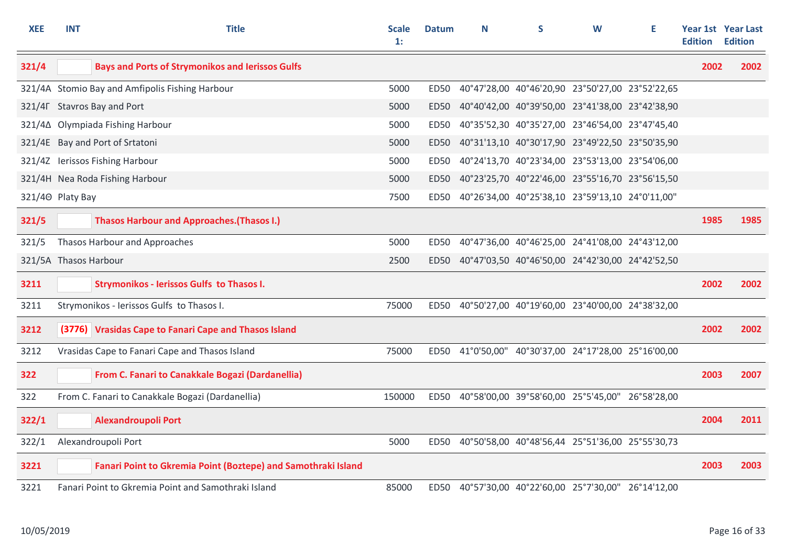| <b>XEE</b>            | <b>INT</b> | <b>Title</b>                                                  | <b>Scale</b><br>1: | <b>Datum</b>     | N | S                                                    | W | Е | <b>Edition</b> | Year 1st Year Last<br><b>Edition</b> |
|-----------------------|------------|---------------------------------------------------------------|--------------------|------------------|---|------------------------------------------------------|---|---|----------------|--------------------------------------|
| 321/4                 |            | <b>Bays and Ports of Strymonikos and Ierissos Gulfs</b>       |                    |                  |   |                                                      |   |   | 2002           | 2002                                 |
|                       |            | 321/4A Stomio Bay and Amfipolis Fishing Harbour               | 5000               | ED50             |   | 40°47'28,00 40°46'20,90 23°50'27,00 23°52'22,65      |   |   |                |                                      |
|                       |            | 321/4F Stavros Bay and Port                                   | 5000               | ED <sub>50</sub> |   | 40°40'42,00 40°39'50,00 23°41'38,00 23°42'38,90      |   |   |                |                                      |
|                       |            | 321/4∆ Olympiada Fishing Harbour                              | 5000               | ED50             |   | 40°35'52,30 40°35'27,00 23°46'54,00 23°47'45,40      |   |   |                |                                      |
|                       |            | 321/4E Bay and Port of Srtatoni                               | 5000               | ED50             |   | 40°31'13,10 40°30'17,90 23°49'22,50 23°50'35,90      |   |   |                |                                      |
|                       |            | 321/4Z lerissos Fishing Harbour                               | 5000               | <b>ED50</b>      |   | 40°24'13,70 40°23'34,00 23°53'13,00 23°54'06,00      |   |   |                |                                      |
|                       |            | 321/4H Nea Roda Fishing Harbour                               | 5000               | ED <sub>50</sub> |   | 40°23'25,70 40°22'46,00 23°55'16,70 23°56'15,50      |   |   |                |                                      |
| 321/40 Platy Bay      |            |                                                               | 7500               |                  |   | ED50 40°26'34,00 40°25'38,10 23°59'13,10 24°0'11,00" |   |   |                |                                      |
| 321/5                 |            | <b>Thasos Harbour and Approaches. (Thasos I.)</b>             |                    |                  |   |                                                      |   |   | 1985           | 1985                                 |
| 321/5                 |            | Thasos Harbour and Approaches                                 | 5000               | ED50             |   | 40°47'36,00 40°46'25,00 24°41'08,00 24°43'12,00      |   |   |                |                                      |
| 321/5A Thasos Harbour |            |                                                               | 2500               | <b>ED50</b>      |   | 40°47'03,50 40°46'50,00 24°42'30,00 24°42'52,50      |   |   |                |                                      |
| 3211                  |            | <b>Strymonikos - Ierissos Gulfs to Thasos I.</b>              |                    |                  |   |                                                      |   |   | 2002           | 2002                                 |
| 3211                  |            | Strymonikos - Ierissos Gulfs to Thasos I.                     | 75000              |                  |   | ED50 40°50'27,00 40°19'60,00 23°40'00,00 24°38'32,00 |   |   |                |                                      |
| 3212                  |            | (3776) Vrasidas Cape to Fanari Cape and Thasos Island         |                    |                  |   |                                                      |   |   | 2002           | 2002                                 |
| 3212                  |            | Vrasidas Cape to Fanari Cape and Thasos Island                | 75000              |                  |   | ED50 41°0'50,00" 40°30'37,00 24°17'28,00 25°16'00,00 |   |   |                |                                      |
| 322                   |            | From C. Fanari to Canakkale Bogazi (Dardanellia)              |                    |                  |   |                                                      |   |   | 2003           | 2007                                 |
| 322                   |            | From C. Fanari to Canakkale Bogazi (Dardanellia)              | 150000             |                  |   | ED50 40°58'00,00 39°58'60,00 25°5'45,00" 26°58'28,00 |   |   |                |                                      |
| 322/1                 |            | <b>Alexandroupoli Port</b>                                    |                    |                  |   |                                                      |   |   | 2004           | 2011                                 |
| 322/1                 |            | Alexandroupoli Port                                           | 5000               | ED50             |   | 40°50'58,00 40°48'56,44 25°51'36,00 25°55'30,73      |   |   |                |                                      |
| 3221                  |            | Fanari Point to Gkremia Point (Boztepe) and Samothraki Island |                    |                  |   |                                                      |   |   | 2003           | 2003                                 |
| 3221                  |            | Fanari Point to Gkremia Point and Samothraki Island           | 85000              |                  |   | ED50 40°57'30,00 40°22'60,00 25°7'30,00" 26°14'12,00 |   |   |                |                                      |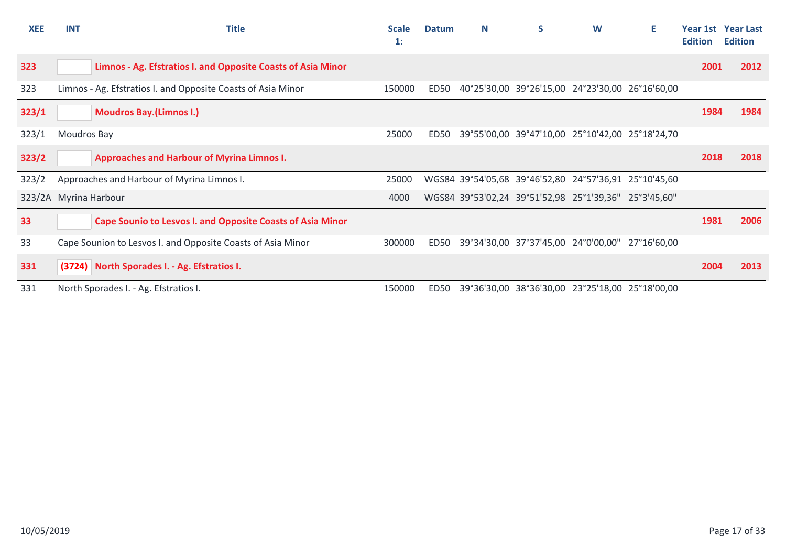| <b>XEE</b> | <b>INT</b>            | <b>Title</b>                                                      | <b>Scale</b><br>$\mathbf{1}$ : | <b>Datum</b>     | N | S                                                     | W | Е           | <b>Edition</b> | <b>Year 1st Year Last</b><br><b>Edition</b> |
|------------|-----------------------|-------------------------------------------------------------------|--------------------------------|------------------|---|-------------------------------------------------------|---|-------------|----------------|---------------------------------------------|
| 323        |                       | Limnos - Ag. Efstratios I. and Opposite Coasts of Asia Minor      |                                |                  |   |                                                       |   |             | 2001           | 2012                                        |
| 323        |                       | Limnos - Ag. Efstratios I. and Opposite Coasts of Asia Minor      | 150000                         | ED50             |   | 40°25'30,00 39°26'15,00 24°23'30,00 26°16'60,00       |   |             |                |                                             |
| 323/1      |                       | <b>Moudros Bay.(Limnos I.)</b>                                    |                                |                  |   |                                                       |   |             | 1984           | 1984                                        |
| 323/1      | Moudros Bay           |                                                                   | 25000                          | ED <sub>50</sub> |   | 39°55'00,00 39°47'10,00 25°10'42,00 25°18'24,70       |   |             |                |                                             |
| 323/2      |                       | <b>Approaches and Harbour of Myrina Limnos I.</b>                 |                                |                  |   |                                                       |   |             | 2018           | 2018                                        |
| 323/2      |                       | Approaches and Harbour of Myrina Limnos I.                        | 25000                          |                  |   | WGS84 39°54'05,68 39°46'52,80 24°57'36,91 25°10'45,60 |   |             |                |                                             |
|            | 323/2A Myrina Harbour |                                                                   | 4000                           |                  |   | WGS84 39°53'02,24 39°51'52,98 25°1'39,36" 25°3'45,60" |   |             |                |                                             |
| 33         |                       | <b>Cape Sounio to Lesvos I. and Opposite Coasts of Asia Minor</b> |                                |                  |   |                                                       |   |             | 1981           | 2006                                        |
| 33         |                       | Cape Sounion to Lesvos I. and Opposite Coasts of Asia Minor       | 300000                         | ED50             |   | 39°34'30,00 37°37'45,00 24°0'00,00"                   |   | 27°16'60.00 |                |                                             |
| 331        |                       | (3724) North Sporades I. - Ag. Efstratios I.                      |                                |                  |   |                                                       |   |             | 2004           | 2013                                        |
| 331        |                       | North Sporades I. - Ag. Efstratios I.                             | 150000                         | <b>ED50</b>      |   | 39°36'30,00 38°36'30,00 23°25'18,00 25°18'00,00       |   |             |                |                                             |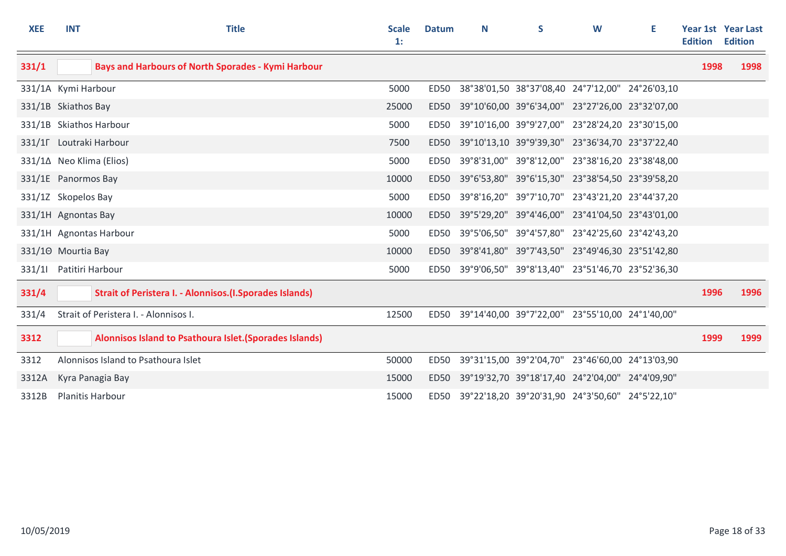| <b>XEE</b> | <b>INT</b>          | <b>Title</b>                                                     | <b>Scale</b><br>1: | <b>Datum</b> | N | S | W                                                    | Е | <b>Edition</b> | Year 1st Year Last<br><b>Edition</b> |
|------------|---------------------|------------------------------------------------------------------|--------------------|--------------|---|---|------------------------------------------------------|---|----------------|--------------------------------------|
| 331/1      |                     | <b>Bays and Harbours of North Sporades - Kymi Harbour</b>        |                    |              |   |   |                                                      |   | 1998           | 1998                                 |
|            | 331/1A Kymi Harbour |                                                                  | 5000               | ED50         |   |   | 38°38'01,50 38°37'08,40 24°7'12,00" 24°26'03,10      |   |                |                                      |
|            | 331/1B Skiathos Bay |                                                                  | 25000              | ED50         |   |   | 39°10'60,00 39°6'34,00" 23°27'26,00 23°32'07,00      |   |                |                                      |
|            |                     | 331/1B Skiathos Harbour                                          | 5000               | ED50         |   |   | 39°10'16,00 39°9'27,00" 23°28'24,20 23°30'15,00      |   |                |                                      |
|            |                     | 331/1F Loutraki Harbour                                          | 7500               | ED50         |   |   | 39°10'13,10 39°9'39,30" 23°36'34,70 23°37'22,40      |   |                |                                      |
|            |                     | 331/1∆ Neo Klima (Elios)                                         | 5000               | ED50         |   |   | 39°8'31,00" 39°8'12,00" 23°38'16,20 23°38'48,00      |   |                |                                      |
|            | 331/1E Panormos Bay |                                                                  | 10000              | ED50         |   |   | 39°6'53,80" 39°6'15,30" 23°38'54,50 23°39'58,20      |   |                |                                      |
|            | 331/1Z Skopelos Bay |                                                                  | 5000               | <b>ED50</b>  |   |   | 39°8'16,20" 39°7'10,70" 23°43'21,20 23°44'37,20      |   |                |                                      |
|            | 331/1H Agnontas Bay |                                                                  | 10000              | ED50         |   |   | 39°5'29,20" 39°4'46,00" 23°41'04,50 23°43'01,00      |   |                |                                      |
|            |                     | 331/1H Agnontas Harbour                                          | 5000               | <b>ED50</b>  |   |   | 39°5'06,50" 39°4'57,80" 23°42'25,60 23°42'43,20      |   |                |                                      |
|            | 331/10 Mourtia Bay  |                                                                  | 10000              |              |   |   | ED50 39°8'41,80" 39°7'43,50" 23°49'46,30 23°51'42,80 |   |                |                                      |
| 331/11     | Patitiri Harbour    |                                                                  | 5000               | ED50         |   |   | 39°9'06,50" 39°8'13,40" 23°51'46,70 23°52'36,30      |   |                |                                      |
| 331/4      |                     | <b>Strait of Peristera I. - Alonnisos. (I. Sporades Islands)</b> |                    |              |   |   |                                                      |   | 1996           | 1996                                 |
| 331/4      |                     | Strait of Peristera I. - Alonnisos I.                            | 12500              | ED50         |   |   | 39°14'40,00 39°7'22,00" 23°55'10,00 24°1'40,00"      |   |                |                                      |
| 3312       |                     | Alonnisos Island to Psathoura Islet. (Sporades Islands)          |                    |              |   |   |                                                      |   | 1999           | 1999                                 |
| 3312       |                     | Alonnisos Island to Psathoura Islet                              | 50000              | <b>ED50</b>  |   |   | 39°31'15,00 39°2'04,70" 23°46'60,00 24°13'03,90      |   |                |                                      |
| 3312A      |                     | Kyra Panagia Bay                                                 | 15000              | ED50         |   |   | 39°19'32,70 39°18'17,40 24°2'04,00" 24°4'09,90"      |   |                |                                      |
| 3312B      |                     | Planitis Harbour                                                 | 15000              |              |   |   | ED50 39°22'18,20 39°20'31,90 24°3'50,60" 24°5'22,10" |   |                |                                      |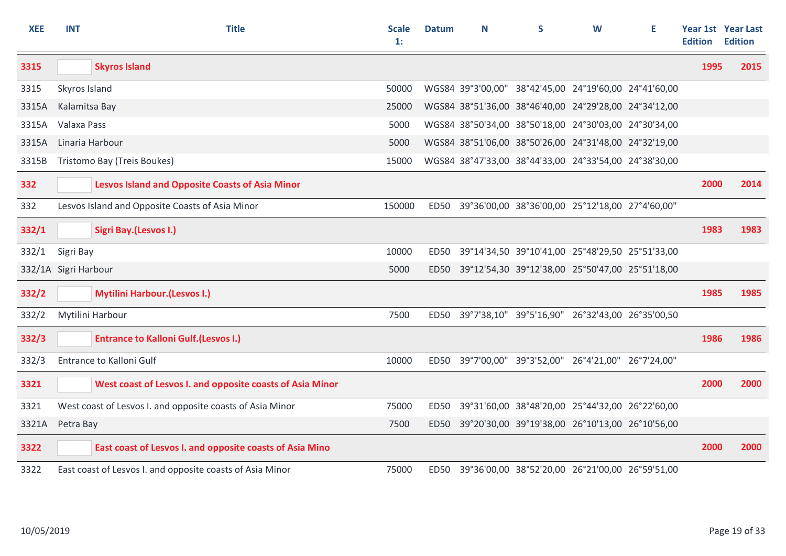| <b>XEE</b> | <b>INT</b>           | <b>Title</b>                                              | <b>Scale</b><br>$\mathbf{1}$ : | <b>Datum</b> | N | S                                                     | W | Е | <b>Edition</b> | <b>Year 1st Year Last</b><br><b>Edition</b> |
|------------|----------------------|-----------------------------------------------------------|--------------------------------|--------------|---|-------------------------------------------------------|---|---|----------------|---------------------------------------------|
| 3315       |                      | <b>Skyros Island</b>                                      |                                |              |   |                                                       |   |   | 1995           | 2015                                        |
| 3315       | Skyros Island        |                                                           | 50000                          |              |   | WGS84 39°3'00,00" 38°42'45,00 24°19'60,00 24°41'60,00 |   |   |                |                                             |
| 3315A      | Kalamitsa Bay        |                                                           | 25000                          |              |   | WGS84 38°51'36,00 38°46'40,00 24°29'28,00 24°34'12,00 |   |   |                |                                             |
| 3315A      | Valaxa Pass          |                                                           | 5000                           |              |   | WGS84 38°50'34,00 38°50'18,00 24°30'03,00 24°30'34,00 |   |   |                |                                             |
| 3315A      |                      | Linaria Harbour                                           | 5000                           |              |   | WGS84 38°51'06,00 38°50'26,00 24°31'48,00 24°32'19,00 |   |   |                |                                             |
| 3315B      |                      | Tristomo Bay (Treis Boukes)                               | 15000                          |              |   | WGS84 38°47'33,00 38°44'33,00 24°33'54,00 24°38'30,00 |   |   |                |                                             |
| 332        |                      | <b>Lesvos Island and Opposite Coasts of Asia Minor</b>    |                                |              |   |                                                       |   |   | 2000           | 2014                                        |
| 332        |                      | Lesvos Island and Opposite Coasts of Asia Minor           | 150000                         | ED50         |   | 39°36'00,00 38°36'00,00 25°12'18,00 27°4'60,00"       |   |   |                |                                             |
| 332/1      |                      | Sigri Bay.(Lesvos I.)                                     |                                |              |   |                                                       |   |   | 1983           | 1983                                        |
| 332/1      | Sigri Bay            |                                                           | 10000                          | ED50         |   | 39°14'34,50 39°10'41,00 25°48'29,50 25°51'33,00       |   |   |                |                                             |
|            | 332/1A Sigri Harbour |                                                           | 5000                           | ED50         |   | 39°12'54,30 39°12'38,00 25°50'47,00 25°51'18,00       |   |   |                |                                             |
| 332/2      |                      | <b>Mytilini Harbour. (Lesvos I.)</b>                      |                                |              |   |                                                       |   |   | 1985           | 1985                                        |
| 332/2      |                      | Mytilini Harbour                                          | 7500                           |              |   | ED50 39°7'38,10" 39°5'16,90" 26°32'43,00 26°35'00,50  |   |   |                |                                             |
| 332/3      |                      | <b>Entrance to Kalloni Gulf. (Lesvos I.)</b>              |                                |              |   |                                                       |   |   | 1986           | 1986                                        |
| 332/3      |                      | <b>Entrance to Kalloni Gulf</b>                           | 10000                          |              |   | ED50 39°7'00,00" 39°3'52,00" 26°4'21,00" 26°7'24,00"  |   |   |                |                                             |
| 3321       |                      | West coast of Lesvos I. and opposite coasts of Asia Minor |                                |              |   |                                                       |   |   | 2000           | 2000                                        |
| 3321       |                      | West coast of Lesvos I. and opposite coasts of Asia Minor | 75000                          | ED50         |   | 39°31'60,00 38°48'20,00 25°44'32,00 26°22'60,00       |   |   |                |                                             |
| 3321A      | Petra Bay            |                                                           | 7500                           |              |   | ED50 39°20'30,00 39°19'38,00 26°10'13,00 26°10'56,00  |   |   |                |                                             |
| 3322       |                      | East coast of Lesvos I. and opposite coasts of Asia Mino  |                                |              |   |                                                       |   |   | 2000           | 2000                                        |
| 3322       |                      | East coast of Lesvos I. and opposite coasts of Asia Minor | 75000                          | ED50         |   | 39°36'00,00 38°52'20,00 26°21'00,00 26°59'51,00       |   |   |                |                                             |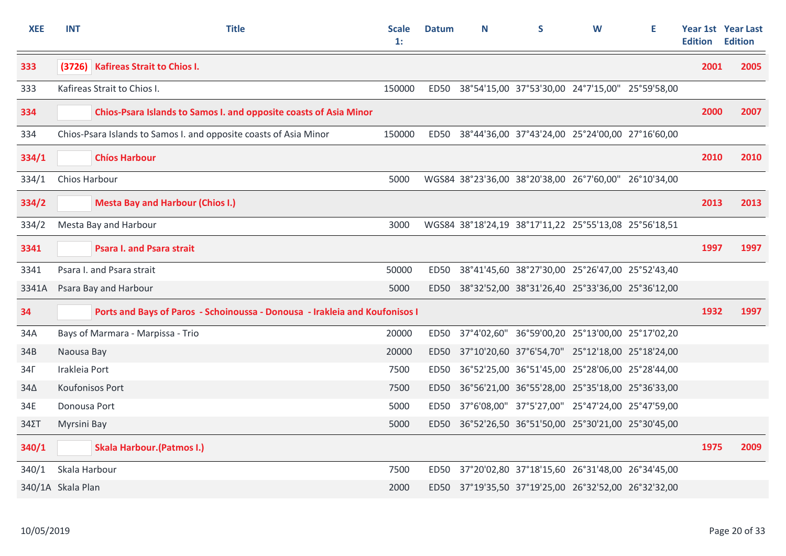| <b>XEE</b>   | <b>INT</b>        | <b>Title</b>                                                                | <b>Scale</b><br>$\mathbf{1}$ : | <b>Datum</b> | N | S                                                     | W | Е | <b>Edition</b> | Year 1st Year Last<br><b>Edition</b> |
|--------------|-------------------|-----------------------------------------------------------------------------|--------------------------------|--------------|---|-------------------------------------------------------|---|---|----------------|--------------------------------------|
| 333          |                   | (3726) Kafireas Strait to Chios I.                                          |                                |              |   |                                                       |   |   | 2001           | 2005                                 |
| 333          |                   | Kafireas Strait to Chios I.                                                 | 150000                         |              |   | ED50 38°54'15,00 37°53'30,00 24°7'15,00" 25°59'58,00  |   |   |                |                                      |
| 334          |                   | Chios-Psara Islands to Samos I. and opposite coasts of Asia Minor           |                                |              |   |                                                       |   |   | 2000           | 2007                                 |
| 334          |                   | Chios-Psara Islands to Samos I. and opposite coasts of Asia Minor           | 150000                         |              |   | ED50 38°44'36,00 37°43'24,00 25°24'00,00 27°16'60,00  |   |   |                |                                      |
| 334/1        |                   | <b>Chíos Harbour</b>                                                        |                                |              |   |                                                       |   |   | 2010           | 2010                                 |
| 334/1        | Chios Harbour     |                                                                             | 5000                           |              |   | WGS84 38°23'36,00 38°20'38,00 26°7'60,00" 26°10'34,00 |   |   |                |                                      |
| 334/2        |                   | <b>Mesta Bay and Harbour (Chios I.)</b>                                     |                                |              |   |                                                       |   |   | 2013           | 2013                                 |
| 334/2        |                   | Mesta Bay and Harbour                                                       | 3000                           |              |   | WGS84 38°18'24,19 38°17'11,22 25°55'13,08 25°56'18,51 |   |   |                |                                      |
| 3341         |                   | <b>Psara I. and Psara strait</b>                                            |                                |              |   |                                                       |   |   | 1997           | 1997                                 |
| 3341         |                   | Psara I. and Psara strait                                                   | 50000                          | ED50         |   | 38°41'45,60 38°27'30,00 25°26'47,00 25°52'43,40       |   |   |                |                                      |
| 3341A        |                   | Psara Bay and Harbour                                                       | 5000                           | ED50         |   | 38°32'52,00 38°31'26,40 25°33'36,00 25°36'12,00       |   |   |                |                                      |
| 34           |                   | Ports and Bays of Paros - Schoinoussa - Donousa - Irakleia and Koufonisos I |                                |              |   |                                                       |   |   | 1932           | 1997                                 |
| 34A          |                   | Bays of Marmara - Marpissa - Trio                                           | 20000                          | ED50         |   | 37°4'02,60" 36°59'00,20 25°13'00,00 25°17'02,20       |   |   |                |                                      |
| 34B          | Naousa Bay        |                                                                             | 20000                          | ED50         |   | 37°10'20,60 37°6'54,70" 25°12'18,00 25°18'24,00       |   |   |                |                                      |
| $34\Gamma$   | Irakleia Port     |                                                                             | 7500                           | ED50         |   | 36°52'25,00 36°51'45,00 25°28'06,00 25°28'44,00       |   |   |                |                                      |
| $34\Delta$   | Koufonisos Port   |                                                                             | 7500                           | <b>ED50</b>  |   | 36°56'21,00 36°55'28,00 25°35'18,00 25°36'33,00       |   |   |                |                                      |
| 34E          | Donousa Port      |                                                                             | 5000                           | <b>ED50</b>  |   | 37°6'08,00" 37°5'27,00" 25°47'24,00 25°47'59,00       |   |   |                |                                      |
| $34\Sigma T$ | Myrsini Bay       |                                                                             | 5000                           |              |   | ED50 36°52'26,50 36°51'50,00 25°30'21,00 25°30'45,00  |   |   |                |                                      |
| 340/1        |                   | <b>Skala Harbour. (Patmos I.)</b>                                           |                                |              |   |                                                       |   |   | 1975           | 2009                                 |
| 340/1        | Skala Harbour     |                                                                             | 7500                           | ED50         |   | 37°20'02,80 37°18'15,60 26°31'48,00 26°34'45,00       |   |   |                |                                      |
|              | 340/1A Skala Plan |                                                                             | 2000                           |              |   | ED50 37°19'35,50 37°19'25,00 26°32'52,00 26°32'32,00  |   |   |                |                                      |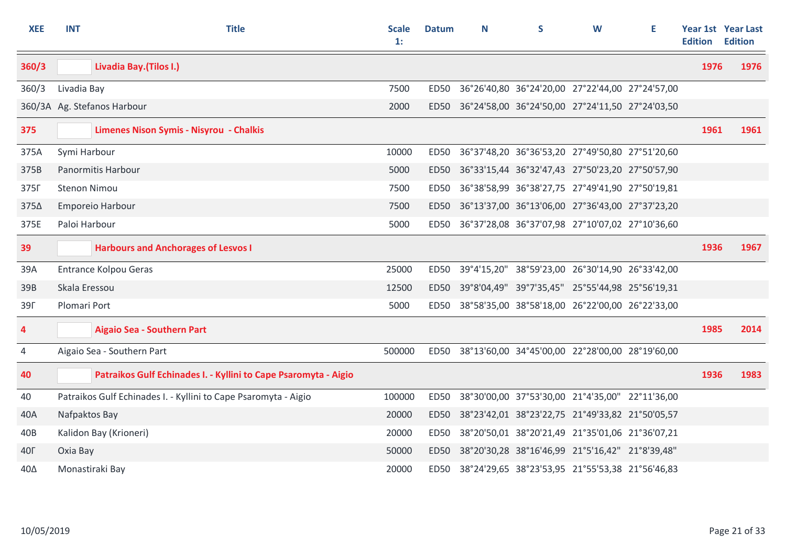| <b>XEE</b> | <b>INT</b>          | <b>Title</b>                                                    | <b>Scale</b><br>1: | <b>Datum</b> | N | S                                                    | W | E. | <b>Edition</b> | Year 1st Year Last<br><b>Edition</b> |
|------------|---------------------|-----------------------------------------------------------------|--------------------|--------------|---|------------------------------------------------------|---|----|----------------|--------------------------------------|
| 360/3      |                     | Livadia Bay. (Tilos I.)                                         |                    |              |   |                                                      |   |    | 1976           | 1976                                 |
| 360/3      | Livadia Bay         |                                                                 | 7500               | <b>ED50</b>  |   | 36°26'40,80 36°24'20,00 27°22'44,00 27°24'57,00      |   |    |                |                                      |
|            |                     | 360/3A Ag. Stefanos Harbour                                     | 2000               | <b>ED50</b>  |   | 36°24'58,00 36°24'50,00 27°24'11,50 27°24'03,50      |   |    |                |                                      |
| 375        |                     | Limenes Nison Symis - Nisyrou - Chalkis                         |                    |              |   |                                                      |   |    | 1961           | 1961                                 |
| 375A       | Symi Harbour        |                                                                 | 10000              |              |   | ED50 36°37'48,20 36°36'53,20 27°49'50,80 27°51'20,60 |   |    |                |                                      |
| 375B       |                     | Panormitis Harbour                                              | 5000               |              |   | ED50 36°33'15,44 36°32'47,43 27°50'23,20 27°50'57,90 |   |    |                |                                      |
| 375F       | <b>Stenon Nimou</b> |                                                                 | 7500               |              |   | ED50 36°38'58,99 36°38'27,75 27°49'41,90 27°50'19,81 |   |    |                |                                      |
| 375∆       |                     | Emporeio Harbour                                                | 7500               |              |   | ED50 36°13'37,00 36°13'06,00 27°36'43,00 27°37'23,20 |   |    |                |                                      |
| 375E       | Paloi Harbour       |                                                                 | 5000               |              |   | ED50 36°37'28,08 36°37'07,98 27°10'07,02 27°10'36,60 |   |    |                |                                      |
| 39         |                     | <b>Harbours and Anchorages of Lesvos I</b>                      |                    |              |   |                                                      |   |    | 1936           | 1967                                 |
| 39A        |                     | <b>Entrance Kolpou Geras</b>                                    | 25000              | ED50         |   | 39°4'15,20" 38°59'23,00 26°30'14,90 26°33'42,00      |   |    |                |                                      |
| 39B        | Skala Eressou       |                                                                 | 12500              | <b>ED50</b>  |   | 39°8'04,49" 39°7'35,45" 25°55'44,98 25°56'19,31      |   |    |                |                                      |
| <b>39F</b> | Plomari Port        |                                                                 | 5000               | <b>ED50</b>  |   | 38°58'35,00 38°58'18,00 26°22'00,00 26°22'33,00      |   |    |                |                                      |
| 4          |                     | <b>Aigaio Sea - Southern Part</b>                               |                    |              |   |                                                      |   |    | 1985           | 2014                                 |
| 4          |                     | Aigaio Sea - Southern Part                                      | 500000             |              |   | ED50 38°13'60,00 34°45'00,00 22°28'00,00 28°19'60,00 |   |    |                |                                      |
| 40         |                     | Patraikos Gulf Echinades I. - Kyllini to Cape Psaromyta - Aigio |                    |              |   |                                                      |   |    | 1936           | 1983                                 |
| 40         |                     | Patraikos Gulf Echinades I. - Kyllini to Cape Psaromyta - Aigio | 100000             |              |   | ED50 38°30'00,00 37°53'30,00 21°4'35,00" 22°11'36,00 |   |    |                |                                      |
| 40A        | Nafpaktos Bay       |                                                                 | 20000              |              |   | ED50 38°23'42,01 38°23'22,75 21°49'33,82 21°50'05,57 |   |    |                |                                      |
| 40B        |                     | Kalidon Bay (Krioneri)                                          | 20000              | <b>ED50</b>  |   | 38°20'50,01 38°20'21,49 21°35'01,06 21°36'07,21      |   |    |                |                                      |
| <b>40F</b> | Oxia Bay            |                                                                 | 50000              | <b>ED50</b>  |   | 38°20'30,28 38°16'46,99 21°5'16,42" 21°8'39,48"      |   |    |                |                                      |
| 40Δ        | Monastiraki Bay     |                                                                 | 20000              |              |   | ED50 38°24'29,65 38°23'53,95 21°55'53,38 21°56'46,83 |   |    |                |                                      |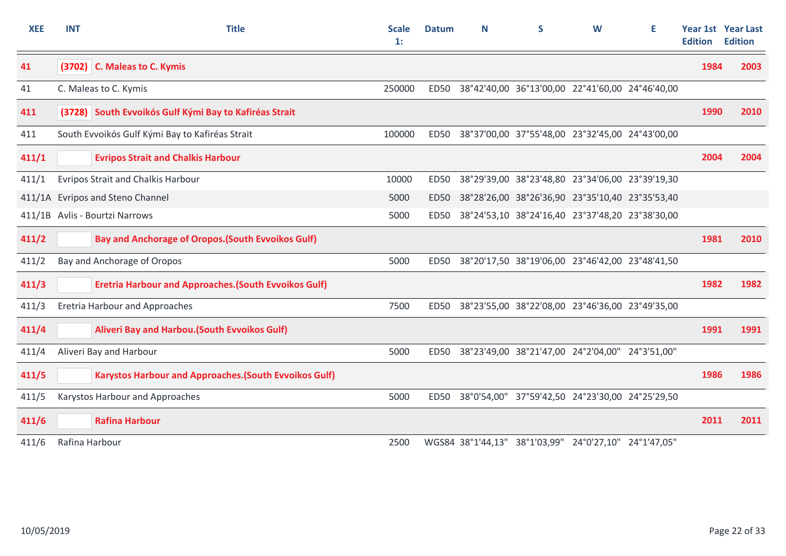| <b>XEE</b> | <b>INT</b>     | <b>Title</b>                                                  | <b>Scale</b><br>$\mathbf{1}$ : | <b>Datum</b> | N | S                                                     | W | Е | <b>Edition</b> | <b>Year 1st Year Last</b><br><b>Edition</b> |
|------------|----------------|---------------------------------------------------------------|--------------------------------|--------------|---|-------------------------------------------------------|---|---|----------------|---------------------------------------------|
| 41         |                | (3702) C. Maleas to C. Kymis                                  |                                |              |   |                                                       |   |   | 1984           | 2003                                        |
| 41         |                | C. Maleas to C. Kymis                                         | 250000                         | <b>ED50</b>  |   | 38°42'40,00 36°13'00,00 22°41'60,00 24°46'40,00       |   |   |                |                                             |
| 411        |                | (3728) South Evvoikós Gulf Kými Bay to Kafiréas Strait        |                                |              |   |                                                       |   |   | 1990           | 2010                                        |
| 411        |                | South Evvoikós Gulf Kými Bay to Kafiréas Strait               | 100000                         | <b>ED50</b>  |   | 38°37'00,00 37°55'48,00 23°32'45,00 24°43'00,00       |   |   |                |                                             |
| 411/1      |                | <b>Evripos Strait and Chalkis Harbour</b>                     |                                |              |   |                                                       |   |   | 2004           | 2004                                        |
| 411/1      |                | <b>Evripos Strait and Chalkis Harbour</b>                     | 10000                          | <b>ED50</b>  |   | 38°29'39,00 38°23'48,80 23°34'06,00 23°39'19,30       |   |   |                |                                             |
|            |                | 411/1A Evripos and Steno Channel                              | 5000                           | <b>ED50</b>  |   | 38°28'26,00 38°26'36,90 23°35'10,40 23°35'53,40       |   |   |                |                                             |
|            |                | 411/1B Avlis - Bourtzi Narrows                                | 5000                           | <b>ED50</b>  |   | 38°24'53,10 38°24'16,40 23°37'48,20 23°38'30,00       |   |   |                |                                             |
| 411/2      |                | <b>Bay and Anchorage of Oropos. (South Evvoikos Gulf)</b>     |                                |              |   |                                                       |   |   | 1981           | 2010                                        |
| 411/2      |                | Bay and Anchorage of Oropos                                   | 5000                           | <b>ED50</b>  |   | 38°20'17,50 38°19'06,00 23°46'42,00 23°48'41,50       |   |   |                |                                             |
| 411/3      |                | <b>Eretria Harbour and Approaches. (South Evvoikos Gulf)</b>  |                                |              |   |                                                       |   |   | 1982           | 1982                                        |
| 411/3      |                | <b>Eretria Harbour and Approaches</b>                         | 7500                           | <b>ED50</b>  |   | 38°23'55,00 38°22'08,00 23°46'36,00 23°49'35,00       |   |   |                |                                             |
| 411/4      |                | Aliveri Bay and Harbou. (South Evvoikos Gulf)                 |                                |              |   |                                                       |   |   | 1991           | 1991                                        |
| 411/4      |                | Aliveri Bay and Harbour                                       | 5000                           | <b>ED50</b>  |   | 38°23'49,00 38°21'47,00 24°2'04,00" 24°3'51,00"       |   |   |                |                                             |
| 411/5      |                | <b>Karystos Harbour and Approaches. (South Evvoikos Gulf)</b> |                                |              |   |                                                       |   |   | 1986           | 1986                                        |
| 411/5      |                | Karystos Harbour and Approaches                               | 5000                           | <b>ED50</b>  |   | 38°0'54,00" 37°59'42,50 24°23'30,00 24°25'29,50       |   |   |                |                                             |
| 411/6      |                | <b>Rafina Harbour</b>                                         |                                |              |   |                                                       |   |   | 2011           | 2011                                        |
| 411/6      | Rafina Harbour |                                                               | 2500                           |              |   | WGS84 38°1'44,13" 38°1'03,99" 24°0'27,10" 24°1'47,05" |   |   |                |                                             |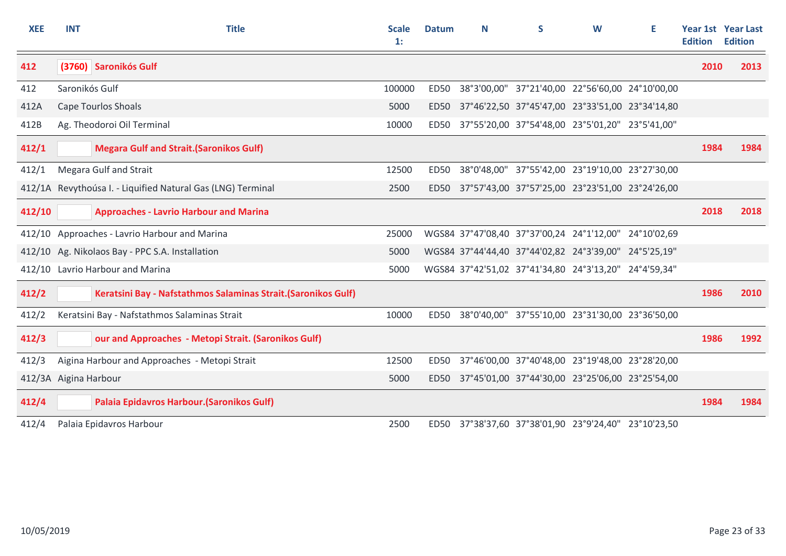| <b>XEE</b>            | <b>INT</b>     | <b>Title</b>                                                   | <b>Scale</b><br>1: | <b>Datum</b>     | N | S.                                                    | W | Ε | <b>Edition</b> | Year 1st Year Last<br><b>Edition</b> |
|-----------------------|----------------|----------------------------------------------------------------|--------------------|------------------|---|-------------------------------------------------------|---|---|----------------|--------------------------------------|
| 412                   |                | (3760) Saronikós Gulf                                          |                    |                  |   |                                                       |   |   | 2010           | 2013                                 |
| 412                   | Saronikós Gulf |                                                                | 100000             | ED <sub>50</sub> |   | 38°3'00,00" 37°21'40,00 22°56'60,00 24°10'00,00       |   |   |                |                                      |
| 412A                  |                | <b>Cape Tourlos Shoals</b>                                     | 5000               | <b>ED50</b>      |   | 37°46'22,50 37°45'47,00 23°33'51,00 23°34'14,80       |   |   |                |                                      |
| 412B                  |                | Ag. Theodoroi Oil Terminal                                     | 10000              | ED50             |   | 37°55'20,00 37°54'48,00 23°5'01,20" 23°5'41,00"       |   |   |                |                                      |
| 412/1                 |                | <b>Megara Gulf and Strait. (Saronikos Gulf)</b>                |                    |                  |   |                                                       |   |   | 1984           | 1984                                 |
| 412/1                 |                | <b>Megara Gulf and Strait</b>                                  | 12500              | <b>ED50</b>      |   | 38°0'48,00" 37°55'42,00 23°19'10,00 23°27'30,00       |   |   |                |                                      |
|                       |                | 412/1A Revythoúsa I. - Liquified Natural Gas (LNG) Terminal    | 2500               | <b>ED50</b>      |   | 37°57'43,00 37°57'25,00 23°23'51,00 23°24'26,00       |   |   |                |                                      |
| 412/10                |                | <b>Approaches - Lavrio Harbour and Marina</b>                  |                    |                  |   |                                                       |   |   | 2018           | 2018                                 |
|                       |                | 412/10 Approaches - Lavrio Harbour and Marina                  | 25000              |                  |   | WGS84 37°47'08,40 37°37'00,24 24°1'12,00" 24°10'02,69 |   |   |                |                                      |
|                       |                | 412/10 Ag. Nikolaos Bay - PPC S.A. Installation                | 5000               |                  |   | WGS84 37°44'44,40 37°44'02,82 24°3'39,00" 24°5'25,19" |   |   |                |                                      |
|                       |                | 412/10 Lavrio Harbour and Marina                               | 5000               |                  |   | WGS84 37°42'51,02 37°41'34,80 24°3'13,20" 24°4'59,34" |   |   |                |                                      |
| 412/2                 |                | Keratsini Bay - Nafstathmos Salaminas Strait. (Saronikos Gulf) |                    |                  |   |                                                       |   |   | 1986           | 2010                                 |
| 412/2                 |                | Keratsini Bay - Nafstathmos Salaminas Strait                   | 10000              | <b>ED50</b>      |   | 38°0'40,00" 37°55'10,00 23°31'30,00 23°36'50,00       |   |   |                |                                      |
| 412/3                 |                | our and Approaches - Metopi Strait. (Saronikos Gulf)           |                    |                  |   |                                                       |   |   | 1986           | 1992                                 |
| 412/3                 |                | Aigina Harbour and Approaches - Metopi Strait                  | 12500              | ED50             |   | 37°46'00,00 37°40'48,00 23°19'48,00 23°28'20,00       |   |   |                |                                      |
| 412/3A Aigina Harbour |                |                                                                | 5000               | ED50             |   | 37°45'01,00 37°44'30,00 23°25'06,00 23°25'54,00       |   |   |                |                                      |
| 412/4                 |                | Palaia Epidavros Harbour. (Saronikos Gulf)                     |                    |                  |   |                                                       |   |   | 1984           | 1984                                 |
| 412/4                 |                | Palaia Epidavros Harbour                                       | 2500               | ED50             |   | 37°38'37,60 37°38'01,90 23°9'24,40" 23°10'23,50       |   |   |                |                                      |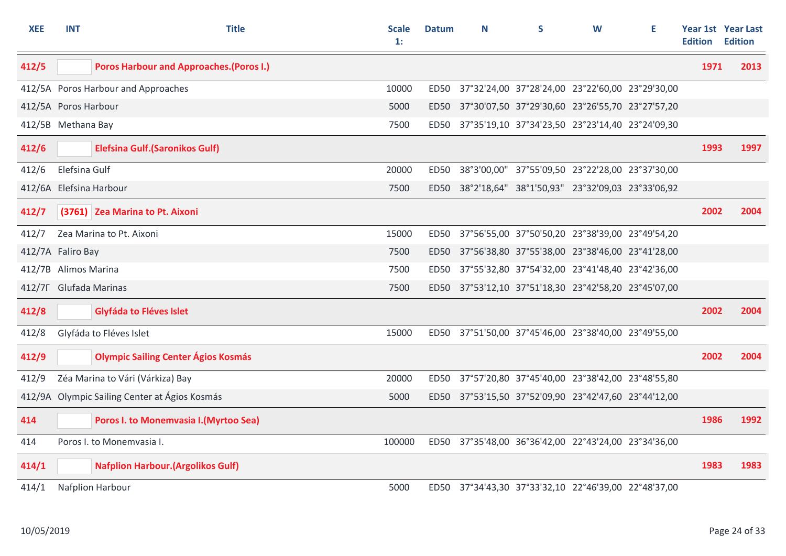| <b>XEE</b> | <b>INT</b>           | <b>Title</b>                                    | <b>Scale</b><br>1: | <b>Datum</b> | N | S                                                    | W | Е | <b>Edition</b> | <b>Year 1st</b> Year Last<br><b>Edition</b> |
|------------|----------------------|-------------------------------------------------|--------------------|--------------|---|------------------------------------------------------|---|---|----------------|---------------------------------------------|
| 412/5      |                      | <b>Poros Harbour and Approaches. (Poros I.)</b> |                    |              |   |                                                      |   |   | 1971           | 2013                                        |
|            |                      | 412/5A Poros Harbour and Approaches             | 10000              | ED50         |   | 37°32'24,00 37°28'24,00 23°22'60,00 23°29'30,00      |   |   |                |                                             |
|            | 412/5A Poros Harbour |                                                 | 5000               |              |   | ED50 37°30'07,50 37°29'30,60 23°26'55,70 23°27'57,20 |   |   |                |                                             |
|            | 412/5B Methana Bay   |                                                 | 7500               |              |   | ED50 37°35'19,10 37°34'23,50 23°23'14,40 23°24'09,30 |   |   |                |                                             |
| 412/6      |                      | <b>Elefsina Gulf. (Saronikos Gulf)</b>          |                    |              |   |                                                      |   |   | 1993           | 1997                                        |
| 412/6      | Elefsina Gulf        |                                                 | 20000              | ED50         |   | 38°3'00,00" 37°55'09,50 23°22'28,00 23°37'30,00      |   |   |                |                                             |
|            |                      | 412/6A Elefsina Harbour                         | 7500               |              |   | ED50 38°2'18,64" 38°1'50,93" 23°32'09,03 23°33'06,92 |   |   |                |                                             |
| 412/7      |                      | (3761) Zea Marina to Pt. Aixoni                 |                    |              |   |                                                      |   |   | 2002           | 2004                                        |
| 412/7      |                      | Zea Marina to Pt. Aixoni                        | 15000              | <b>ED50</b>  |   | 37°56'55,00 37°50'50,20 23°38'39,00 23°49'54,20      |   |   |                |                                             |
|            | 412/7A Faliro Bay    |                                                 | 7500               |              |   | ED50 37°56'38,80 37°55'38,00 23°38'46,00 23°41'28,00 |   |   |                |                                             |
|            | 412/7B Alimos Marina |                                                 | 7500               | <b>ED50</b>  |   | 37°55'32,80 37°54'32,00 23°41'48,40 23°42'36,00      |   |   |                |                                             |
|            |                      | 412/7F Glufada Marinas                          | 7500               |              |   | ED50 37°53'12,10 37°51'18,30 23°42'58,20 23°45'07,00 |   |   |                |                                             |
| 412/8      |                      | Glyfáda to Fléves Islet                         |                    |              |   |                                                      |   |   | 2002           | 2004                                        |
| 412/8      |                      | Glyfáda to Fléves Islet                         | 15000              |              |   | ED50 37°51'50,00 37°45'46,00 23°38'40,00 23°49'55,00 |   |   |                |                                             |
| 412/9      |                      | <b>Olympic Sailing Center Ágios Kosmás</b>      |                    |              |   |                                                      |   |   | 2002           | 2004                                        |
| 412/9      |                      | Zéa Marina to Vári (Várkiza) Bay                | 20000              | ED50         |   | 37°57'20,80 37°45'40,00 23°38'42,00 23°48'55,80      |   |   |                |                                             |
|            |                      | 412/9A Olympic Sailing Center at Ágios Kosmás   | 5000               |              |   | ED50 37°53'15,50 37°52'09,90 23°42'47,60 23°44'12,00 |   |   |                |                                             |
| 414        |                      | Poros I. to Monemvasia I. (Myrtoo Sea)          |                    |              |   |                                                      |   |   | 1986           | 1992                                        |
| 414        |                      | Poros I. to Monemvasia I.                       | 100000             |              |   | ED50 37°35'48,00 36°36'42,00 22°43'24,00 23°34'36,00 |   |   |                |                                             |
| 414/1      |                      | <b>Nafplion Harbour. (Argolikos Gulf)</b>       |                    |              |   |                                                      |   |   | 1983           | 1983                                        |
| 414/1      |                      | Nafplion Harbour                                | 5000               |              |   | ED50 37°34'43,30 37°33'32,10 22°46'39,00 22°48'37,00 |   |   |                |                                             |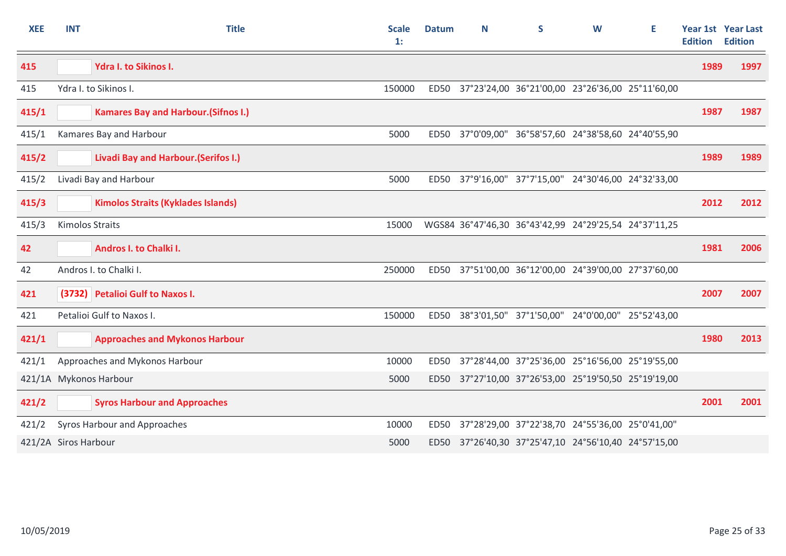| <b>XEE</b> | <b>INT</b>             | <b>Title</b>                                | <b>Scale</b><br>$\mathbf{1}$ : | <b>Datum</b>     | N | S                                                     | W | Е | <b>Edition</b> | <b>Year 1st Year Last</b><br><b>Edition</b> |
|------------|------------------------|---------------------------------------------|--------------------------------|------------------|---|-------------------------------------------------------|---|---|----------------|---------------------------------------------|
| 415        |                        | <b>Ydra I. to Sikinos I.</b>                |                                |                  |   |                                                       |   |   | 1989           | 1997                                        |
| 415        |                        | Ydra I. to Sikinos I.                       | 150000                         | <b>ED50</b>      |   | 37°23'24,00 36°21'00,00 23°26'36,00 25°11'60,00       |   |   |                |                                             |
| 415/1      |                        | <b>Kamares Bay and Harbour. (Sifnos I.)</b> |                                |                  |   |                                                       |   |   | 1987           | 1987                                        |
| 415/1      |                        | Kamares Bay and Harbour                     | 5000                           | <b>ED50</b>      |   | 37°0'09,00" 36°58'57,60 24°38'58,60 24°40'55,90       |   |   |                |                                             |
| 415/2      |                        | <b>Livadi Bay and Harbour. (Serifos I.)</b> |                                |                  |   |                                                       |   |   | 1989           | 1989                                        |
| 415/2      |                        | Livadi Bay and Harbour                      | 5000                           | <b>ED50</b>      |   | 37°9'16,00" 37°7'15,00" 24°30'46,00 24°32'33,00       |   |   |                |                                             |
| 415/3      |                        | <b>Kimolos Straits (Kyklades Islands)</b>   |                                |                  |   |                                                       |   |   | 2012           | 2012                                        |
| 415/3      | <b>Kimolos Straits</b> |                                             | 15000                          |                  |   | WGS84 36°47'46,30 36°43'42,99 24°29'25,54 24°37'11,25 |   |   |                |                                             |
| 42         |                        | Andros I. to Chalki I.                      |                                |                  |   |                                                       |   |   | 1981           | 2006                                        |
| 42         |                        | Andros I. to Chalki I.                      | 250000                         | <b>ED50</b>      |   | 37°51'00,00 36°12'00,00 24°39'00,00 27°37'60,00       |   |   |                |                                             |
| 421        |                        | (3732) Petalioi Gulf to Naxos I.            |                                |                  |   |                                                       |   |   | 2007           | 2007                                        |
| 421        |                        | Petalioi Gulf to Naxos I.                   | 150000                         | <b>ED50</b>      |   | 38°3'01,50" 37°1'50,00" 24°0'00,00" 25°52'43,00       |   |   |                |                                             |
| 421/1      |                        | <b>Approaches and Mykonos Harbour</b>       |                                |                  |   |                                                       |   |   | 1980           | 2013                                        |
| 421/1      |                        | Approaches and Mykonos Harbour              | 10000                          | <b>ED50</b>      |   | 37°28'44,00 37°25'36,00 25°16'56,00 25°19'55,00       |   |   |                |                                             |
|            |                        | 421/1A Mykonos Harbour                      | 5000                           | <b>ED50</b>      |   | 37°27'10,00 37°26'53,00 25°19'50,50 25°19'19,00       |   |   |                |                                             |
| 421/2      |                        | <b>Syros Harbour and Approaches</b>         |                                |                  |   |                                                       |   |   | 2001           | 2001                                        |
| 421/2      |                        | Syros Harbour and Approaches                | 10000                          | <b>ED50</b>      |   | 37°28'29,00 37°22'38,70 24°55'36,00 25°0'41,00"       |   |   |                |                                             |
|            | 421/2A Siros Harbour   |                                             | 5000                           | ED <sub>50</sub> |   | 37°26'40,30 37°25'47,10 24°56'10,40 24°57'15,00       |   |   |                |                                             |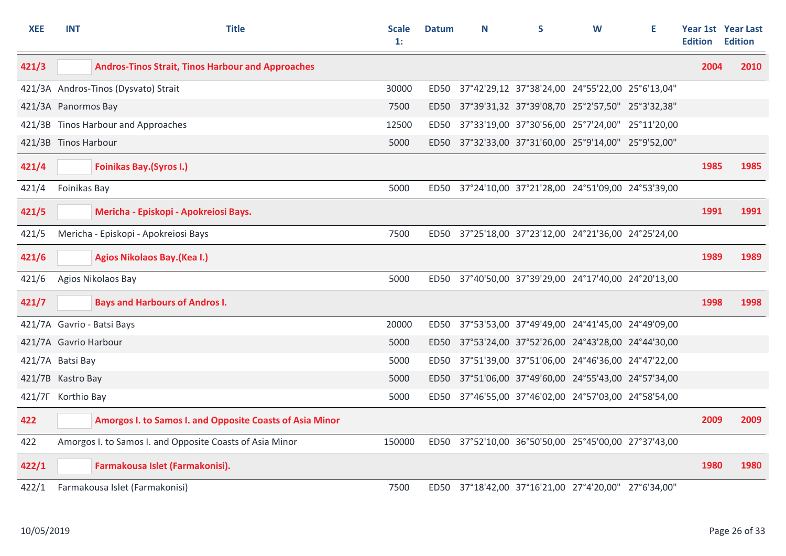| <b>XEE</b> | <b>INT</b>            | <b>Title</b>                                             | <b>Scale</b><br>$\mathbf{1}$ : | <b>Datum</b> | N | S                                                    | W | Е | <b>Edition</b> | <b>Year 1st Year Last</b><br><b>Edition</b> |
|------------|-----------------------|----------------------------------------------------------|--------------------------------|--------------|---|------------------------------------------------------|---|---|----------------|---------------------------------------------|
| 421/3      |                       | <b>Andros-Tinos Strait, Tinos Harbour and Approaches</b> |                                |              |   |                                                      |   |   | 2004           | 2010                                        |
|            |                       | 421/3A Andros-Tinos (Dysvato) Strait                     | 30000                          | ED50         |   | 37°42'29,12 37°38'24,00 24°55'22,00 25°6'13,04"      |   |   |                |                                             |
|            | 421/3A Panormos Bay   |                                                          | 7500                           |              |   | ED50 37°39'31,32 37°39'08,70 25°2'57,50" 25°3'32,38" |   |   |                |                                             |
|            |                       | 421/3B Tinos Harbour and Approaches                      | 12500                          |              |   | ED50 37°33'19,00 37°30'56,00 25°7'24,00" 25°11'20,00 |   |   |                |                                             |
|            | 421/3B Tinos Harbour  |                                                          | 5000                           |              |   | ED50 37°32'33,00 37°31'60,00 25°9'14,00" 25°9'52,00" |   |   |                |                                             |
| 421/4      |                       | <b>Foinikas Bay. (Syros I.)</b>                          |                                |              |   |                                                      |   |   | 1985           | 1985                                        |
| 421/4      | Foinikas Bay          |                                                          | 5000                           |              |   | ED50 37°24'10,00 37°21'28,00 24°51'09,00 24°53'39,00 |   |   |                |                                             |
| 421/5      |                       | Mericha - Episkopi - Apokreiosi Bays.                    |                                |              |   |                                                      |   |   | 1991           | 1991                                        |
| 421/5      |                       | Mericha - Episkopi - Apokreiosi Bays                     | 7500                           |              |   | ED50 37°25'18,00 37°23'12,00 24°21'36,00 24°25'24,00 |   |   |                |                                             |
| 421/6      |                       | <b>Agios Nikolaos Bay. (Kea I.)</b>                      |                                |              |   |                                                      |   |   | 1989           | 1989                                        |
| 421/6      |                       | Agios Nikolaos Bay                                       | 5000                           |              |   | ED50 37°40'50,00 37°39'29,00 24°17'40,00 24°20'13,00 |   |   |                |                                             |
| 421/7      |                       | <b>Bays and Harbours of Andros I.</b>                    |                                |              |   |                                                      |   |   | 1998           | 1998                                        |
|            |                       | 421/7A Gavrio - Batsi Bays                               | 20000                          | ED50         |   | 37°53'53,00 37°49'49,00 24°41'45,00 24°49'09,00      |   |   |                |                                             |
|            | 421/7A Gavrio Harbour |                                                          | 5000                           | ED50         |   | 37°53'24,00 37°52'26,00 24°43'28,00 24°44'30,00      |   |   |                |                                             |
|            | 421/7A Batsi Bay      |                                                          | 5000                           | ED50         |   | 37°51'39,00 37°51'06,00 24°46'36,00 24°47'22,00      |   |   |                |                                             |
|            | 421/7B Kastro Bay     |                                                          | 5000                           | ED50         |   | 37°51'06,00 37°49'60,00 24°55'43,00 24°57'34,00      |   |   |                |                                             |
|            | 421/7F Korthio Bay    |                                                          | 5000                           |              |   | ED50 37°46'55,00 37°46'02,00 24°57'03,00 24°58'54,00 |   |   |                |                                             |
| 422        |                       | Amorgos I. to Samos I. and Opposite Coasts of Asia Minor |                                |              |   |                                                      |   |   | 2009           | 2009                                        |
| 422        |                       | Amorgos I. to Samos I. and Opposite Coasts of Asia Minor | 150000                         |              |   | ED50 37°52'10,00 36°50'50,00 25°45'00,00 27°37'43,00 |   |   |                |                                             |
| 422/1      |                       | Farmakousa Islet (Farmakonisi).                          |                                |              |   |                                                      |   |   | 1980           | 1980                                        |
| 422/1      |                       | Farmakousa Islet (Farmakonisi)                           | 7500                           |              |   | ED50 37°18'42,00 37°16'21,00 27°4'20,00" 27°6'34,00" |   |   |                |                                             |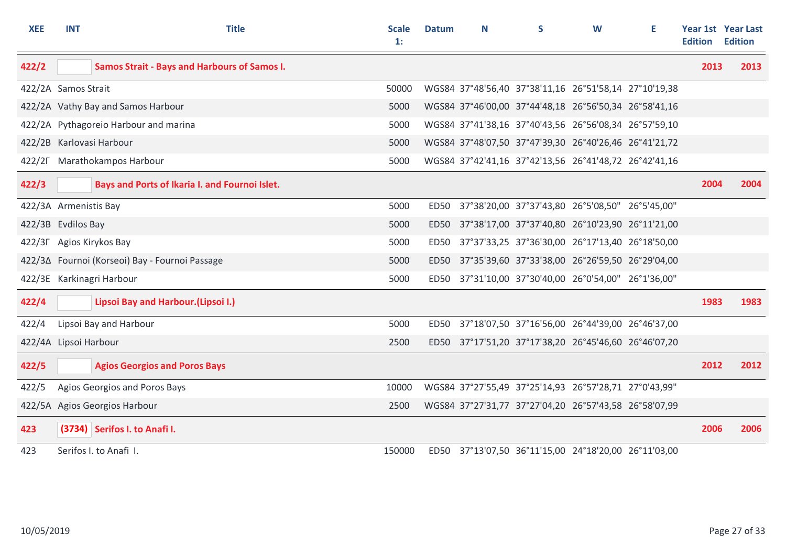| <b>XEE</b>            | <b>INT</b> | <b>Title</b>                                        | <b>Scale</b><br>1: | <b>Datum</b> | N | S                                                     | W | E. | <b>Edition</b> | <b>Year 1st Year Last</b><br><b>Edition</b> |
|-----------------------|------------|-----------------------------------------------------|--------------------|--------------|---|-------------------------------------------------------|---|----|----------------|---------------------------------------------|
| 422/2                 |            | <b>Samos Strait - Bays and Harbours of Samos I.</b> |                    |              |   |                                                       |   |    | 2013           | 2013                                        |
| 422/2A Samos Strait   |            |                                                     | 50000              |              |   | WGS84 37°48'56,40 37°38'11,16 26°51'58,14 27°10'19,38 |   |    |                |                                             |
|                       |            | 422/2A Vathy Bay and Samos Harbour                  | 5000               |              |   | WGS84 37°46'00,00 37°44'48,18 26°56'50,34 26°58'41,16 |   |    |                |                                             |
|                       |            | 422/2A Pythagoreio Harbour and marina               | 5000               |              |   | WGS84 37°41'38,16 37°40'43,56 26°56'08,34 26°57'59,10 |   |    |                |                                             |
|                       |            | 422/2B Karlovasi Harbour                            | 5000               |              |   | WGS84 37°48'07,50 37°47'39,30 26°40'26,46 26°41'21,72 |   |    |                |                                             |
|                       |            | 422/2F Marathokampos Harbour                        | 5000               |              |   | WGS84 37°42'41,16 37°42'13,56 26°41'48,72 26°42'41,16 |   |    |                |                                             |
| 422/3                 |            | Bays and Ports of Ikaria I. and Fournoi Islet.      |                    |              |   |                                                       |   |    | 2004           | 2004                                        |
| 422/3A Armenistis Bay |            |                                                     | 5000               |              |   | ED50 37°38'20,00 37°37'43,80 26°5'08,50" 26°5'45,00"  |   |    |                |                                             |
| 422/3B Evdilos Bay    |            |                                                     | 5000               | ED50         |   | 37°38'17,00 37°37'40,80 26°10'23,90 26°11'21,00       |   |    |                |                                             |
|                       |            | 422/3F Agios Kirykos Bay                            | 5000               | ED50         |   | 37°37'33,25 37°36'30,00 26°17'13,40 26°18'50,00       |   |    |                |                                             |
|                       |            | 422/3∆ Fournoi (Korseoi) Bay - Fournoi Passage      | 5000               |              |   | ED50 37°35'39,60 37°33'38,00 26°26'59,50 26°29'04,00  |   |    |                |                                             |
|                       |            | 422/3E Karkinagri Harbour                           | 5000               | ED50         |   | 37°31'10,00 37°30'40,00 26°0'54,00" 26°1'36,00"       |   |    |                |                                             |
| 422/4                 |            | Lipsoi Bay and Harbour.(Lipsoi I.)                  |                    |              |   |                                                       |   |    | 1983           | 1983                                        |
| 422/4                 |            | Lipsoi Bay and Harbour                              | 5000               | ED50         |   | 37°18'07,50 37°16'56,00 26°44'39,00 26°46'37,00       |   |    |                |                                             |
| 422/4A Lipsoi Harbour |            |                                                     | 2500               |              |   | ED50 37°17'51,20 37°17'38,20 26°45'46,60 26°46'07,20  |   |    |                |                                             |
| 422/5                 |            | <b>Agios Georgios and Poros Bays</b>                |                    |              |   |                                                       |   |    | 2012           | 2012                                        |
| 422/5                 |            | Agios Georgios and Poros Bays                       | 10000              |              |   | WGS84 37°27'55,49 37°25'14,93 26°57'28,71 27°0'43,99" |   |    |                |                                             |
|                       |            | 422/5A Agios Georgios Harbour                       | 2500               |              |   | WGS84 37°27'31,77 37°27'04,20 26°57'43,58 26°58'07,99 |   |    |                |                                             |
| 423                   |            | (3734) Serifos I. to Anafi I.                       |                    |              |   |                                                       |   |    | 2006           | 2006                                        |
| 423                   |            | Serifos I. to Anafi I.                              | 150000             |              |   | ED50 37°13'07,50 36°11'15,00 24°18'20,00 26°11'03,00  |   |    |                |                                             |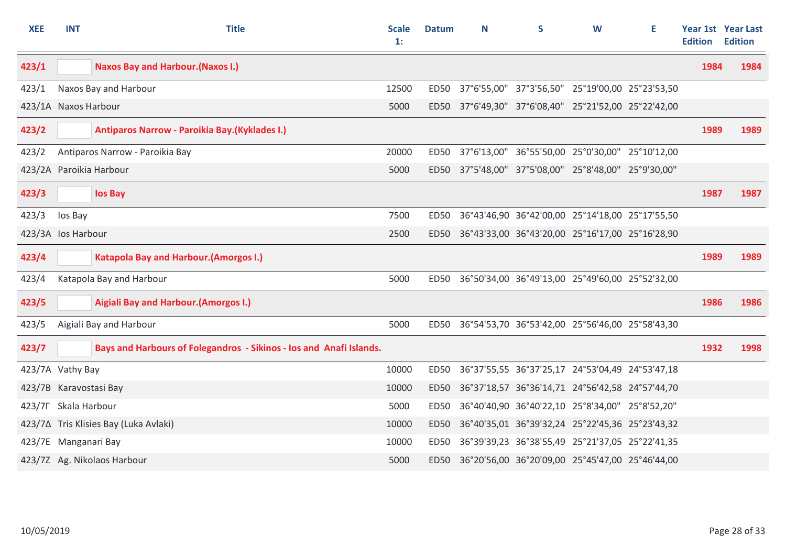| <b>XEE</b> | <b>INT</b>              | <b>Title</b>                                                        | <b>Scale</b><br>1: | <b>Datum</b> | N | S                                                    | W | Е | <b>Edition</b> | Year 1st Year Last<br><b>Edition</b> |
|------------|-------------------------|---------------------------------------------------------------------|--------------------|--------------|---|------------------------------------------------------|---|---|----------------|--------------------------------------|
| 423/1      |                         | <b>Naxos Bay and Harbour. (Naxos I.)</b>                            |                    |              |   |                                                      |   |   | 1984           | 1984                                 |
| 423/1      |                         | Naxos Bay and Harbour                                               | 12500              |              |   | ED50 37°6'55,00" 37°3'56,50" 25°19'00,00 25°23'53,50 |   |   |                |                                      |
|            | 423/1A Naxos Harbour    |                                                                     | 5000               |              |   | ED50 37°6'49,30" 37°6'08,40" 25°21'52,00 25°22'42,00 |   |   |                |                                      |
| 423/2      |                         | Antiparos Narrow - Paroikia Bay. (Kyklades I.)                      |                    |              |   |                                                      |   |   | 1989           | 1989                                 |
| 423/2      |                         | Antiparos Narrow - Paroikia Bay                                     | 20000              | ED50         |   | 37°6'13,00" 36°55'50,00 25°0'30,00" 25°10'12,00      |   |   |                |                                      |
|            | 423/2A Paroikia Harbour |                                                                     | 5000               | <b>ED50</b>  |   | 37°5'48,00" 37°5'08,00" 25°8'48,00" 25°9'30,00"      |   |   |                |                                      |
| 423/3      |                         | los Bay                                                             |                    |              |   |                                                      |   |   | 1987           | 1987                                 |
| 423/3      | los Bay                 |                                                                     | 7500               |              |   | ED50 36°43'46,90 36°42'00,00 25°14'18,00 25°17'55,50 |   |   |                |                                      |
|            | 423/3A los Harbour      |                                                                     | 2500               |              |   | ED50 36°43'33,00 36°43'20,00 25°16'17,00 25°16'28,90 |   |   |                |                                      |
| 423/4      |                         | <b>Katapola Bay and Harbour. (Amorgos I.)</b>                       |                    |              |   |                                                      |   |   | 1989           | 1989                                 |
| 423/4      |                         | Katapola Bay and Harbour                                            | 5000               |              |   | ED50 36°50'34,00 36°49'13,00 25°49'60,00 25°52'32,00 |   |   |                |                                      |
| 423/5      |                         | Aigiali Bay and Harbour. (Amorgos I.)                               |                    |              |   |                                                      |   |   | 1986           | 1986                                 |
| 423/5      |                         | Aigiali Bay and Harbour                                             | 5000               |              |   | ED50 36°54'53,70 36°53'42,00 25°56'46,00 25°58'43,30 |   |   |                |                                      |
| 423/7      |                         | Bays and Harbours of Folegandros - Sikinos - los and Anafi Islands. |                    |              |   |                                                      |   |   | 1932           | 1998                                 |
|            | 423/7A Vathy Bay        |                                                                     | 10000              |              |   | ED50 36°37'55,55 36°37'25,17 24°53'04,49 24°53'47,18 |   |   |                |                                      |
|            | 423/7B Karavostasi Bay  |                                                                     | 10000              | ED50         |   | 36°37'18,57 36°36'14,71 24°56'42,58 24°57'44,70      |   |   |                |                                      |
|            | 423/7F Skala Harbour    |                                                                     | 5000               | <b>ED50</b>  |   | 36°40'40,90 36°40'22,10 25°8'34,00" 25°8'52,20"      |   |   |                |                                      |
|            |                         | 423/7∆ Tris Klisies Bay (Luka Avlaki)                               | 10000              |              |   | ED50 36°40'35,01 36°39'32,24 25°22'45,36 25°23'43,32 |   |   |                |                                      |
|            | 423/7E Manganari Bay    |                                                                     | 10000              | ED50         |   | 36°39'39,23 36°38'55,49 25°21'37,05 25°22'41,35      |   |   |                |                                      |
|            |                         | 423/7Z Ag. Nikolaos Harbour                                         | 5000               |              |   | ED50 36°20'56,00 36°20'09,00 25°45'47,00 25°46'44,00 |   |   |                |                                      |

 $\mathbb{Z}$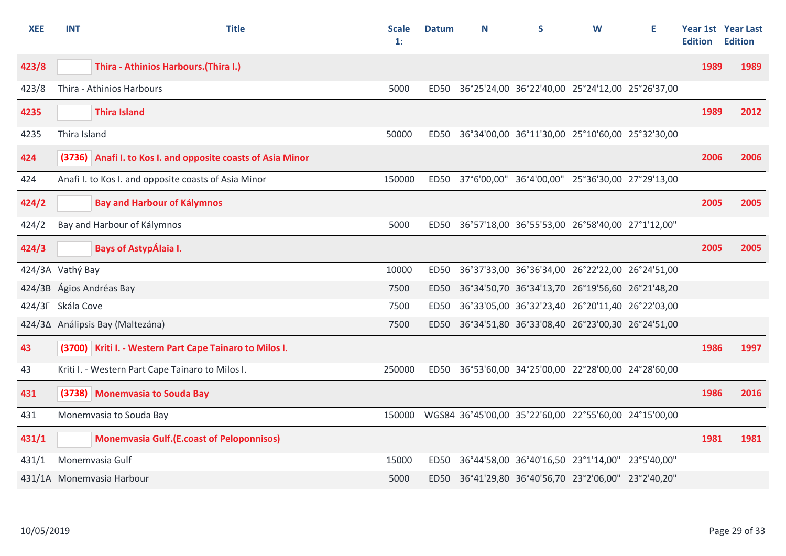| <b>XEE</b>        | <b>INT</b>   | <b>Title</b>                                                | <b>Scale</b><br>$\mathbf{1}$ : | <b>Datum</b>     | N | S                                                     | W | E | <b>Edition</b> | Year 1st Year Last<br><b>Edition</b> |
|-------------------|--------------|-------------------------------------------------------------|--------------------------------|------------------|---|-------------------------------------------------------|---|---|----------------|--------------------------------------|
| 423/8             |              | Thira - Athinios Harbours. (Thira I.)                       |                                |                  |   |                                                       |   |   | 1989           | 1989                                 |
| 423/8             |              | Thira - Athinios Harbours                                   | 5000                           | <b>ED50</b>      |   | 36°25'24,00 36°22'40,00 25°24'12,00 25°26'37,00       |   |   |                |                                      |
| 4235              |              | <b>Thira Island</b>                                         |                                |                  |   |                                                       |   |   | 1989           | 2012                                 |
| 4235              | Thira Island |                                                             | 50000                          | <b>ED50</b>      |   | 36°34'00,00 36°11'30,00 25°10'60,00 25°32'30,00       |   |   |                |                                      |
| 424               |              | (3736) Anafi I. to Kos I. and opposite coasts of Asia Minor |                                |                  |   |                                                       |   |   | 2006           | 2006                                 |
| 424               |              | Anafi I. to Kos I. and opposite coasts of Asia Minor        | 150000                         | ED50             |   | 37°6'00,00" 36°4'00,00" 25°36'30,00 27°29'13,00       |   |   |                |                                      |
| 424/2             |              | <b>Bay and Harbour of Kálymnos</b>                          |                                |                  |   |                                                       |   |   | 2005           | 2005                                 |
| 424/2             |              | Bay and Harbour of Kálymnos                                 | 5000                           | <b>ED50</b>      |   | 36°57'18,00 36°55'53,00 26°58'40,00 27°1'12,00"       |   |   |                |                                      |
| 424/3             |              | <b>Bays of AstypÁlaia I.</b>                                |                                |                  |   |                                                       |   |   | 2005           | 2005                                 |
| 424/3A Vathý Bay  |              |                                                             | 10000                          | <b>ED50</b>      |   | 36°37'33,00 36°36'34,00 26°22'22,00 26°24'51,00       |   |   |                |                                      |
|                   |              | 424/3B Ágios Andréas Bay                                    | 7500                           | ED <sub>50</sub> |   | 36°34'50,70 36°34'13,70 26°19'56,60 26°21'48,20       |   |   |                |                                      |
| 424/3F Skála Cove |              |                                                             | 7500                           | <b>ED50</b>      |   | 36°33'05,00 36°32'23,40 26°20'11,40 26°22'03,00       |   |   |                |                                      |
|                   |              | 424/3∆ Análipsis Bay (Maltezána)                            | 7500                           | <b>ED50</b>      |   | 36°34'51,80 36°33'08,40 26°23'00,30 26°24'51,00       |   |   |                |                                      |
| 43                |              | (3700) Kriti I. - Western Part Cape Tainaro to Milos I.     |                                |                  |   |                                                       |   |   | 1986           | 1997                                 |
| 43                |              | Kriti I. - Western Part Cape Tainaro to Milos I.            | 250000                         | ED50             |   | 36°53'60,00 34°25'00,00 22°28'00,00 24°28'60,00       |   |   |                |                                      |
| 431               |              | (3738) Monemvasia to Souda Bay                              |                                |                  |   |                                                       |   |   | 1986           | 2016                                 |
| 431               |              | Monemvasia to Souda Bay                                     | 150000                         |                  |   | WGS84 36°45'00,00 35°22'60,00 22°55'60,00 24°15'00,00 |   |   |                |                                      |
| 431/1             |              | <b>Monemvasia Gulf.(E.coast of Peloponnisos)</b>            |                                |                  |   |                                                       |   |   | 1981           | 1981                                 |
| 431/1             |              | Monemvasia Gulf                                             | 15000                          | ED50             |   | 36°44'58,00 36°40'16,50 23°1'14,00" 23°5'40,00"       |   |   |                |                                      |
|                   |              | 431/1A Monemvasia Harbour                                   | 5000                           |                  |   | ED50 36°41'29,80 36°40'56,70 23°2'06,00" 23°2'40,20"  |   |   |                |                                      |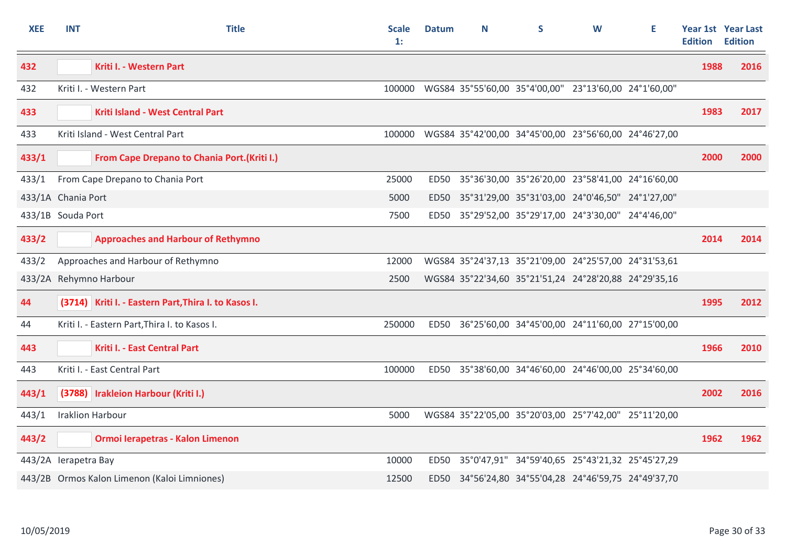| <b>XEE</b>           | <b>INT</b>         | <b>Title</b>                                         | <b>Scale</b><br>$\mathbf{1}$ : | <b>Datum</b> | N | S                                                     | W | Е | <b>Edition</b> | Year 1st Year Last<br><b>Edition</b> |
|----------------------|--------------------|------------------------------------------------------|--------------------------------|--------------|---|-------------------------------------------------------|---|---|----------------|--------------------------------------|
| 432                  |                    | Kriti I. - Western Part                              |                                |              |   |                                                       |   |   | 1988           | 2016                                 |
| 432                  |                    | Kriti I. - Western Part                              | 100000                         |              |   | WGS84 35°55'60,00 35°4'00,00" 23°13'60,00 24°1'60,00" |   |   |                |                                      |
| 433                  |                    | Kriti Island - West Central Part                     |                                |              |   |                                                       |   |   | 1983           | 2017                                 |
| 433                  |                    | Kriti Island - West Central Part                     | 100000                         |              |   | WGS84 35°42'00,00 34°45'00,00 23°56'60,00 24°46'27,00 |   |   |                |                                      |
| 433/1                |                    | <b>From Cape Drepano to Chania Port. (Kriti I.)</b>  |                                |              |   |                                                       |   |   | 2000           | 2000                                 |
| 433/1                |                    | From Cape Drepano to Chania Port                     | 25000                          | ED50         |   | 35°36'30,00 35°26'20,00 23°58'41,00 24°16'60,00       |   |   |                |                                      |
|                      | 433/1A Chania Port |                                                      |                                | <b>ED50</b>  |   | 35°31'29,00 35°31'03,00 24°0'46,50" 24°1'27,00"       |   |   |                |                                      |
| 433/1B Souda Port    |                    |                                                      | 7500                           |              |   | ED50 35°29'52,00 35°29'17,00 24°3'30,00" 24°4'46,00"  |   |   |                |                                      |
| 433/2                |                    | <b>Approaches and Harbour of Rethymno</b>            |                                |              |   |                                                       |   |   | 2014           | 2014                                 |
| 433/2                |                    | Approaches and Harbour of Rethymno                   | 12000                          |              |   | WGS84 35°24'37,13 35°21'09,00 24°25'57,00 24°31'53,61 |   |   |                |                                      |
|                      |                    | 433/2A Rehymno Harbour                               | 2500                           |              |   | WGS84 35°22'34,60 35°21'51,24 24°28'20,88 24°29'35,16 |   |   |                |                                      |
| 44                   |                    | (3714) Kriti I. - Eastern Part, Thira I. to Kasos I. |                                |              |   |                                                       |   |   | 1995           | 2012                                 |
| 44                   |                    | Kriti I. - Eastern Part, Thira I. to Kasos I.        | 250000                         | ED50         |   | 36°25'60,00 34°45'00,00 24°11'60,00 27°15'00,00       |   |   |                |                                      |
| 443                  |                    | Kriti I. - East Central Part                         |                                |              |   |                                                       |   |   | 1966           | 2010                                 |
| 443                  |                    | Kriti I. - East Central Part                         | 100000                         |              |   | ED50 35°38'60,00 34°46'60,00 24°46'00,00 25°34'60,00  |   |   |                |                                      |
| 443/1                |                    | (3788) Irakleion Harbour (Kriti I.)                  |                                |              |   |                                                       |   |   | 2002           | 2016                                 |
| 443/1                |                    | <b>Iraklion Harbour</b>                              | 5000                           |              |   | WGS84 35°22'05,00 35°20'03,00 25°7'42,00" 25°11'20,00 |   |   |                |                                      |
| 443/2                |                    | Ormoi Ierapetras - Kalon Limenon                     |                                |              |   |                                                       |   |   | 1962           | 1962                                 |
| 443/2A lerapetra Bay |                    |                                                      | 10000                          | ED50         |   | 35°0'47,91" 34°59'40,65 25°43'21,32 25°45'27,29       |   |   |                |                                      |
|                      |                    | 443/2B Ormos Kalon Limenon (Kaloi Limniones)         | 12500                          | ED50         |   | 34°56'24,80 34°55'04,28 24°46'59,75 24°49'37,70       |   |   |                |                                      |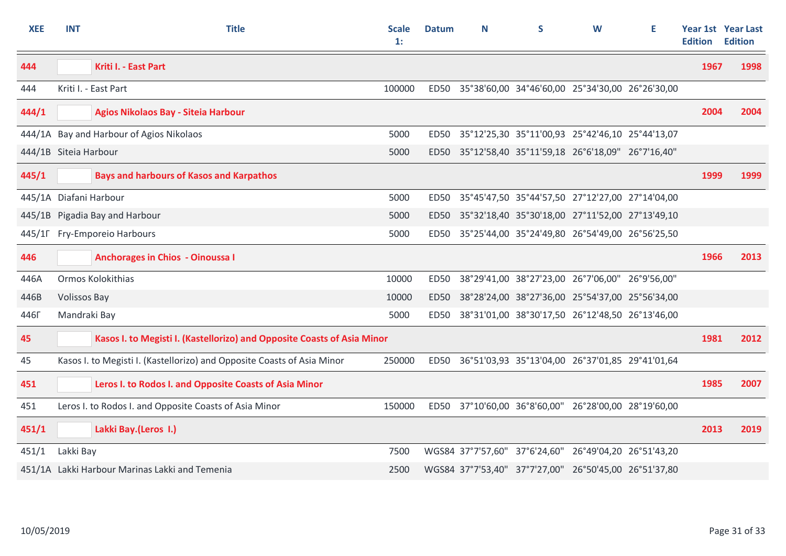| <b>XEE</b>            | <b>INT</b>             | <b>Title</b>                                                            | <b>Scale</b><br>$\mathbf{1}$ : | <b>Datum</b> | Ν | S                                                     | W | Е | <b>Edition</b> | <b>Year 1st Year Last</b><br><b>Edition</b> |
|-----------------------|------------------------|-------------------------------------------------------------------------|--------------------------------|--------------|---|-------------------------------------------------------|---|---|----------------|---------------------------------------------|
| 444                   |                        | Kriti I. - East Part                                                    |                                |              |   |                                                       |   |   | 1967           | 1998                                        |
| 444                   |                        | Kriti I. - East Part                                                    | 100000                         | <b>ED50</b>  |   | 35°38'60,00 34°46'60,00 25°34'30,00 26°26'30,00       |   |   |                |                                             |
| 444/1                 |                        | Agios Nikolaos Bay - Siteia Harbour                                     |                                |              |   |                                                       |   |   | 2004           | 2004                                        |
|                       |                        | 444/1A Bay and Harbour of Agios Nikolaos                                | 5000                           | ED50         |   | 35°12'25,30 35°11'00,93 25°42'46,10 25°44'13,07       |   |   |                |                                             |
| 444/1B Siteia Harbour |                        |                                                                         | 5000                           | ED50         |   | 35°12'58,40 35°11'59,18 26°6'18,09" 26°7'16,40"       |   |   |                |                                             |
| 445/1                 |                        | <b>Bays and harbours of Kasos and Karpathos</b>                         |                                |              |   |                                                       |   |   | 1999           | 1999                                        |
|                       | 445/1A Diafani Harbour |                                                                         | 5000                           | ED50         |   | 35°45'47,50 35°44'57,50 27°12'27,00 27°14'04,00       |   |   |                |                                             |
|                       |                        | 445/1B Pigadia Bay and Harbour                                          | 5000                           | ED50         |   | 35°32'18,40 35°30'18,00 27°11'52,00 27°13'49,10       |   |   |                |                                             |
|                       |                        | 445/1Г Fry-Emporeio Harbours                                            | 5000                           |              |   | ED50 35°25'44,00 35°24'49,80 26°54'49,00 26°56'25,50  |   |   |                |                                             |
| 446                   |                        | <b>Anchorages in Chios - Oinoussa I</b>                                 |                                |              |   |                                                       |   |   | 1966           | 2013                                        |
| 446A                  |                        | Ormos Kolokithias                                                       | 10000                          | ED50         |   | 38°29'41,00 38°27'23,00 26°7'06,00" 26°9'56,00"       |   |   |                |                                             |
| 446B                  | <b>Volissos Bay</b>    |                                                                         | 10000                          | <b>ED50</b>  |   | 38°28'24,00 38°27'36,00 25°54'37,00 25°56'34,00       |   |   |                |                                             |
| 446 <sub>F</sub>      | Mandraki Bay           |                                                                         | 5000                           | ED50         |   | 38°31'01,00 38°30'17,50 26°12'48,50 26°13'46,00       |   |   |                |                                             |
| 45                    |                        | Kasos I. to Megisti I. (Kastellorizo) and Opposite Coasts of Asia Minor |                                |              |   |                                                       |   |   | 1981           | 2012                                        |
| 45                    |                        | Kasos I. to Megisti I. (Kastellorizo) and Opposite Coasts of Asia Minor | 250000                         |              |   | ED50 36°51'03,93 35°13'04,00 26°37'01,85 29°41'01,64  |   |   |                |                                             |
| 451                   |                        | Leros I. to Rodos I. and Opposite Coasts of Asia Minor                  |                                |              |   |                                                       |   |   | 1985           | 2007                                        |
| 451                   |                        | Leros I. to Rodos I. and Opposite Coasts of Asia Minor                  | 150000                         | ED50         |   | 37°10'60,00 36°8'60,00" 26°28'00,00 28°19'60,00       |   |   |                |                                             |
| 451/1                 |                        | Lakki Bay.(Leros I.)                                                    |                                |              |   |                                                       |   |   | 2013           | 2019                                        |
| 451/1                 | Lakki Bay              |                                                                         | 7500                           |              |   | WGS84 37°7'57,60" 37°6'24,60" 26°49'04,20 26°51'43,20 |   |   |                |                                             |
|                       |                        | 451/1A Lakki Harbour Marinas Lakki and Temenia                          | 2500                           |              |   | WGS84 37°7'53,40" 37°7'27,00" 26°50'45,00 26°51'37,80 |   |   |                |                                             |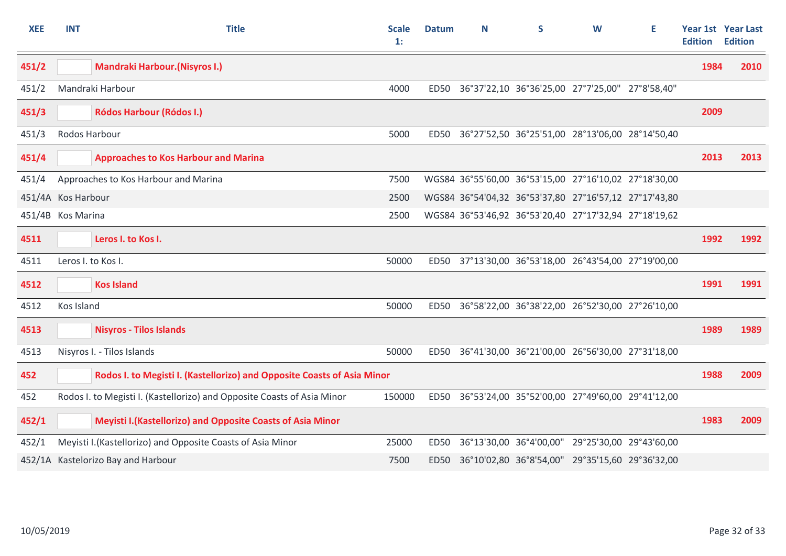| <b>XEE</b>         | <b>INT</b>    | <b>Title</b>                                                            | <b>Scale</b><br>$\mathbf{1}$ : | <b>Datum</b> | N | S                                                     | W | Е | <b>Edition</b> | <b>Year 1st Year Last</b><br><b>Edition</b> |
|--------------------|---------------|-------------------------------------------------------------------------|--------------------------------|--------------|---|-------------------------------------------------------|---|---|----------------|---------------------------------------------|
| 451/2              |               | <b>Mandraki Harbour. (Nisyros I.)</b>                                   |                                |              |   |                                                       |   |   | 1984           | 2010                                        |
| 451/2              |               | Mandraki Harbour                                                        | 4000                           | ED50         |   | 36°37'22,10 36°36'25,00 27°7'25,00" 27°8'58,40"       |   |   |                |                                             |
| 451/3              |               | <b>Ródos Harbour (Ródos I.)</b>                                         |                                |              |   |                                                       |   |   | 2009           |                                             |
| 451/3              | Rodos Harbour |                                                                         | 5000                           |              |   | ED50 36°27'52,50 36°25'51,00 28°13'06,00 28°14'50,40  |   |   |                |                                             |
| 451/4              |               | <b>Approaches to Kos Harbour and Marina</b>                             |                                |              |   |                                                       |   |   | 2013           | 2013                                        |
| 451/4              |               | Approaches to Kos Harbour and Marina                                    | 7500                           |              |   | WGS84 36°55'60,00 36°53'15,00 27°16'10,02 27°18'30,00 |   |   |                |                                             |
| 451/4A Kos Harbour |               |                                                                         | 2500                           |              |   | WGS84 36°54'04,32 36°53'37,80 27°16'57,12 27°17'43,80 |   |   |                |                                             |
| 451/4B Kos Marina  |               |                                                                         | 2500                           |              |   | WGS84 36°53'46,92 36°53'20,40 27°17'32,94 27°18'19,62 |   |   |                |                                             |
| 4511               |               | Leros I. to Kos I.                                                      |                                |              |   |                                                       |   |   | 1992           | 1992                                        |
| 4511               |               | Leros I. to Kos I.                                                      | 50000                          |              |   | ED50 37°13'30,00 36°53'18,00 26°43'54,00 27°19'00,00  |   |   |                |                                             |
| 4512               |               | <b>Kos Island</b>                                                       |                                |              |   |                                                       |   |   | 1991           | 1991                                        |
| 4512               | Kos Island    |                                                                         | 50000                          | ED50         |   | 36°58'22,00 36°38'22,00 26°52'30,00 27°26'10,00       |   |   |                |                                             |
| 4513               |               | <b>Nisyros - Tilos Islands</b>                                          |                                |              |   |                                                       |   |   | 1989           | 1989                                        |
| 4513               |               | Nisyros I. - Tilos Islands                                              | 50000                          |              |   | ED50 36°41'30,00 36°21'00,00 26°56'30,00 27°31'18,00  |   |   |                |                                             |
| 452                |               | Rodos I. to Megisti I. (Kastellorizo) and Opposite Coasts of Asia Minor |                                |              |   |                                                       |   |   | 1988           | 2009                                        |
| 452                |               | Rodos I. to Megisti I. (Kastellorizo) and Opposite Coasts of Asia Minor | 150000                         | ED50         |   | 36°53'24,00 35°52'00,00 27°49'60,00 29°41'12,00       |   |   |                |                                             |
| 452/1              |               | Meyisti I. (Kastellorizo) and Opposite Coasts of Asia Minor             |                                |              |   |                                                       |   |   | 1983           | 2009                                        |
| 452/1              |               | Meyisti I. (Kastellorizo) and Opposite Coasts of Asia Minor             | 25000                          | <b>ED50</b>  |   | 36°13'30,00 36°4'00,00" 29°25'30,00 29°43'60,00       |   |   |                |                                             |
|                    |               | 452/1A Kastelorizo Bay and Harbour                                      | 7500                           | ED50         |   | 36°10'02,80 36°8'54,00" 29°35'15,60 29°36'32,00       |   |   |                |                                             |